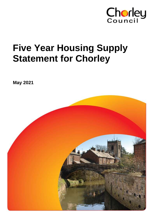

# **Five Year Housing Supply Statement for Chorley**

**May 2021**

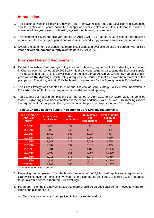# **Introduction**

- 1. The National Planning Policy Framework (the Framework) sets out that local planning authorities should identify and update annually a supply of specific deliverable sites sufficient to provide a minimum of five years' worth of housing against their housing requirement.
- 2. This statement covers the five year period  $1<sup>st</sup>$  April 2021 31<sup>st</sup> March 2026. It sets out the housing requirement for the five year period and assesses the land supply available to deliver the requirement.
- 3. Overall the statement concludes that there is sufficient land available across the Borough with a **14.4 year deliverable housing supply** over the period 2021-2026.

## **Five Year Housing Requirement**

- 4. Central Lancashire Core Strategy Policy 4 sets out a housing requirement of 417 dwellings per annum in Chorley over the period 2010-2026 which is the starting point for calculating the five year supply. This equates to a total of 6,672 dwellings over the plan period. At April 2010 Chorley had prior underprovision of 162 dwellings, which Policy 4 requires the Council to make up over the remainder of the plan period. Therefore, at April 2010 the housing requirement for the Borough was 6,834 dwellings.
- 5. The Core Strategy was adopted in 2012 and a review of Core Strategy Policy 4 was undertaken in 2017 which found that the housing requirement did not need updating.
- 6. Table 1 sets out housing completions over the period 1<sup>st</sup> April 2010 to 31<sup>st</sup> March 2021. It identifies that 6,316 dwellings have been completed in the period and there is a surplus of 1,567 dwellings above the requirement for that period (taking into account the prior under-provision of 162 dwellings).

| Plan period (1st<br>April-31 <sup>st</sup><br>March) | <b>Cumulative</b><br>requirement | <b>Net</b><br>completions | <b>Cumulative</b><br>net<br>completions | Over or under<br>supply to<br>date |
|------------------------------------------------------|----------------------------------|---------------------------|-----------------------------------------|------------------------------------|
| 2010/11                                              | 579*                             | 527                       | 527                                     | $-52$                              |
| 2011/12                                              | 996                              | 552                       | 1,079                                   | $+83$                              |
| 2012/13                                              | 1,413                            | 638                       | 1,717                                   | $+304$                             |
| 2013/14                                              | 1,830                            | 582                       | 2,299                                   | $+469$                             |
| 2014/15                                              | 2,247                            | 723                       | 3,022                                   | $+775$                             |
| 2015/16                                              | 2,664                            | 597                       | 3,619                                   | $+955$                             |
| 2016/17                                              | 3,081                            | 517                       | 4,136                                   | $+1,055$                           |
| 2017/18                                              | 3,498                            | 661                       | 4,797                                   | $+1,299$                           |
| 2018/19                                              | 3,915                            | 573                       | 5,370                                   | $+1,455$                           |
| 2019/20                                              | 4,332                            | 640                       | 6,010                                   | $+1,678$                           |
| 2020/21                                              | 4,749                            | 306                       | 6,316                                   | $+1,567$                           |

**Table 1: Chorley housing supply in relation to Core Strategy requirements**

\*417+162 under-provision at April 2010

- 7. Deducting the completions from the housing requirement of 6,834 dwellings leaves a requirement of 518 dwellings over the remaining five years of the plan period April 2021 to March 2026. The annual target over this period is therefore 104 dwellings.
- 8. Paragraph 73 of the Framework states that there should be an additional buffer (moved forward from later in the plan period) of:
	- a) 5% to ensure choice and competition in the market for land; or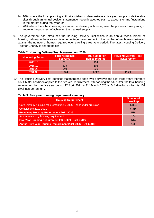- b) 10% where the local planning authority wishes to demonstrate a five year supply of deliverable sites through an annual position statement or recently adopted plan, to account for any fluctuations in the market during that year; or
- c) 20% where there has been significant under delivery of housing over the previous three years, to improve the prospect of achieving the planned supply.
- 9. The government has introduced the Housing Delivery Test which is an annual measurement of housing delivery in the area and is a percentage measurement of the number of net homes delivered against the number of homes required over a rolling three year period. The latest Housing Delivery Test for Chorley is set out below.

| <b>Monitoring Period</b> | <b>Total net homes</b><br>delivered | <b>Total number of</b><br>homes required | <b>Housing Delivery Test</b><br><b>Measurement</b> |  |  |  |  |  |  |  |  |  |
|--------------------------|-------------------------------------|------------------------------------------|----------------------------------------------------|--|--|--|--|--|--|--|--|--|
| 2017/18                  | 661                                 | 494                                      |                                                    |  |  |  |  |  |  |  |  |  |
| 2018/19                  | 573                                 | 603                                      |                                                    |  |  |  |  |  |  |  |  |  |
| 2019/20                  | 640                                 | 530                                      |                                                    |  |  |  |  |  |  |  |  |  |
| <b>TOTAL</b>             | 1,874                               | 1,627                                    | 115%                                               |  |  |  |  |  |  |  |  |  |

#### **Table 2: Housing Delivery Test Measurement 2020**

10. The Housing Delivery Test identifies that there has been over delivery in the past three years therefore a 5% buffer has been applied to the five year requirement. After adding the 5% buffer, the total housing requirement for the five year period 1<sup>st</sup> April 2021 – 31<sup>st</sup> March 2026 is 544 dwellings which is 109 dwellings per annum**.**

#### **Table 3: Five year housing requirement summary**

| <b>Housing Requirement</b>                                          | <b>Number of</b><br><b>Dwellings</b> |
|---------------------------------------------------------------------|--------------------------------------|
| Core Strategy housing requirement 2010-2026 + prior under provision | 6,834                                |
| Completions 2010-2021                                               | 6,316                                |
| <b>Remaining Housing Requirement 2021-2026</b>                      | 518                                  |
| Annual remaining housing requirement                                | 104                                  |
| Five Year Housing Requirement 2021-2026 + 5% buffer                 | 544                                  |
| Annual Five year Housing Requirement 2021-2026 + 5% buffer          | 109                                  |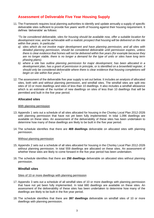# **Assessment of Deliverable Five Year Housing Supply**

11. The Framework requires local planning authorities to identify and update annually a supply of specific deliverable sites sufficient to provide five years' worth of housing against their housing requirement. It defines 'deliverable' as follows:

*"To be considered deliverable, sites for housing should be available now, offer a suitable location for development now, and be achievable with a realistic prospect that housing will be delivered on the site within five years. In particular:*

- *a) sites which do not involve major development and have planning permission, and all sites with detailed planning permission, should be considered deliverable until permission expires, unless there is clear evidence that homes will not be delivered within five years (for example because they are no longer viable, there is no longer a demand for the type of units or sites have long term phasing plans).*
- *b) where a site has outline planning permission for major development, has been allocated in a development plan, has a grant of permission in principle, or is identified on a brownfield register, it should only be considered deliverable where there is clear evidence that housing completions will begin on site within five years."*
- 12. The assessment of the deliverable five year supply is set out below. It includes an analysis of allocated sites, both with and without planning permission, and windfall sites. The windfall sites are split into sites of 10 or more dwellings and sites of less than 10 dwellings. It also includes a windfall allowance which is an estimate of the number of new dwellings on sites of less than 10 dwellings that will be permitted and built in the five year period.

#### **Allocated sites**

#### With planning permission

- 13. Appendix 1 sets out a schedule of all sites allocated for housing in the Chorley Local Plan 2012-2026 with planning permission that have not yet been fully implemented. In total 1,096 dwellings are available on these sites. An assessment of the deliverability of these sites has been undertaken to determine how many of these dwellings are likely to be built in the five year period.
- 14. The schedule identifies that there are **469 dwellings** deliverable on allocated sites with planning permission.

#### Without planning permission

- 15. Appendix 2 sets out a schedule of all sites allocated for housing in the Chorley Local Plan 2012-2026 without planning permission. In total 559 dwellings are allocated on these sites. An assessment of whether these sites are likely to come forward in the five year period has been undertaken.
- 16. The schedule identifies that there are **250 dwellings** deliverable on allocated sites without planning permission.

#### **Windfall sites**

#### Sites of 10 or more dwellings with planning permission

- 17. Appendix 3 sets out a schedule of all windfall sites of 10 or more dwellings with planning permission that have not yet been fully implemented. In total 680 dwellings are available on these sites. An assessment of the deliverability of these sites has been undertaken to determine how many of the dwellings are likely to be built in the five year period.
- 18. The schedule identifies that there are **397 dwellings** deliverable on windfall sites of 10 or more dwellings with planning permission.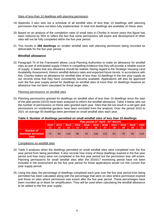#### Sites of less than 10 dwellings with planning permission

- 19. Appendix 3 also sets out a schedule of all windfall sites of less than 10 dwellings with planning permission that have not been fully implemented. In total 416 dwellings are available on these sites.
- 20. Based on an analysis of the completion rates of small sites in Chorley in recent years this figure has been reduced by 36% to reflect the fact that some permissions will expire and development of other sites will not be fully completed within the five year period.
- 21. This results in **266 dwellings** on smaller windfall sites with planning permission being recorded as deliverable for the five year period.

#### **Windfall allowance**

22. Paragraph 70 of the Framework allows Local Planning Authorities to make an allowance for windfall sites as part of anticipated supply if there is compelling evidence that they will provide a reliable source of supply. It states that any allowance should be realistic having regard to the Strategic Housing Land Availability Assessment, historic windfall delivery rates and expected future trends. In accordance with this, Chorley makes an allowance for windfall sites of less than 10 dwellings in the five year supply as our records show that they have consistently become available. Applications will also be approved over the five year supply period for dwellings on windfall sites of more than 10 dwellings however an allowance has not been calculated for these larger sites.

#### Planning permissions on windfall sites

23. Planning permissions granted for dwellings on windfall sites of less than 10 dwellings since the start of the plan period (2010) have been analysed to inform the windfall allowance. Table 4 below sets out the number of permissions on these sites granted each year. Sites that did not result in a net gain and permissions on residential gardens have been excluded from the analysis. Over the period 2010 to 2021 on average 93 dwellings were permitted on small windfall sites each year.

#### **Table 4: Number of dwellings permitted on small windfall sites of less than 10 dwellings**

|                                           |             |             | Plan period (1 <sup>st</sup> April - 31 <sup>st</sup> March) |             |             |             |       |             |             |             |             |  |  |  |
|-------------------------------------------|-------------|-------------|--------------------------------------------------------------|-------------|-------------|-------------|-------|-------------|-------------|-------------|-------------|--|--|--|
|                                           | 2010/<br>11 | 2011/<br>12 | 2012/<br>13                                                  | 2013/<br>14 | 2014/<br>15 | 2015/<br>16 | 2016/ | 2017/<br>18 | 2018/<br>19 | 2019/<br>20 | 2020/<br>21 |  |  |  |
| Number of<br>dwellings permitted<br>(net) | 74          | 60          | 116                                                          | 96          | 91          | 116         | 122   | 81          | 78          | 82          | 110         |  |  |  |

Completions on windfall sites

- 24. Table 5 analyses when the dwellings permitted on small windfall sites were completed over the five year period from being permitted. It also records how many of these dwellings expired in the five year period and how many were not completed in the five year period but the permission was still extant. Planning permissions for small windfall sites after the 2016/17 monitoring period have not been included in the assessment as the five year period for those applications would run into current five year supply period.
- 25. Using this data, the percentage of dwellings completed each year over the five year period from being permitted has been calculated along with the percentage that were on sites where permission expired and those on sites where permission was extant after the five year period. These percentages have been rounded up or down for simplification. They will be used when calculating the windfall allowance to be added to the five year supply.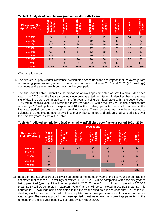| <b>Plan period (1st</b><br><b>April-31st March)</b> | চ<br>dwellings<br>permitted<br>Number | <b>Completions</b><br>$\overline{\phantom{0}}$<br>year | <b>Completions</b><br>$\overline{\mathbf{c}}$<br>year | <b>Completions</b><br>൚<br>year | Completions<br>4<br>year | Completions<br><b>50</b><br>year | Expired | S<br>after<br><b>years</b><br>Extant |
|-----------------------------------------------------|---------------------------------------|--------------------------------------------------------|-------------------------------------------------------|---------------------------------|--------------------------|----------------------------------|---------|--------------------------------------|
| 2010/11                                             | 74                                    | $-1$                                                   | $\overline{4}$                                        | 21                              | 19                       | $\overline{4}$                   | 14      | 13                                   |
| 2011/12                                             | 60                                    | $\overline{2}$                                         | 8                                                     | 19                              | 12                       | 5                                | 8       | 6                                    |
| 2012/13                                             | 116                                   | 8                                                      | 34                                                    | 15                              | 19                       | $\Omega$                         | 23      | 17                                   |
| 2013/14                                             | 96                                    | 5                                                      | 32                                                    | 17                              | 13                       | $\overline{7}$                   | 12      | 10                                   |
| 2014/15                                             | 91                                    | 6                                                      | 17                                                    | 12                              | 19                       | 6                                | 16      | 15                                   |
| 2015/16                                             | 116                                   | 7                                                      | 24                                                    | 10                              | 13                       | 11                               | 21      | 30                                   |
| 2016/17                                             | 122                                   | 6                                                      | 16                                                    | 10                              | 26                       | 9                                | 27      | 28                                   |
| <b>Total</b>                                        | 675                                   | 33                                                     | 135                                                   | 104                             | 121                      | 42                               | 121     | 119                                  |
| <b>Total %</b>                                      | 100%                                  | 5%                                                     | 20%                                                   | 15%                             | 18%                      | 6%                               | 18%     | 18%                                  |

#### **Table 5: Analysis of completions (net) on small windfall sites**

#### Windfall allowance

- 26. The five year supply windfall allowance is calculated based upon the assumption that the average rate of planning permissions granted on small windfall sites between 2011 and 2021 (93 dwellings) continues at the same rate throughout the five year period.
- 27. The final row of Table 5 identifies the proportion of dwellings completed on small windfall sites each year since 2010 over the five year period since being granted permission. It identifies that on average 5% of dwellings were completed within the first year of being permitted, 20% within the second year, 15% within the third year, 18% within the fourth year and 6% within the fifth year. It also identifies that on average 18% of applications expired and 18% of the dwellings permitted were not completed in the five year period but the permission remained extant. These percentages have been applied to calculate the predicted number of dwellings that will be permitted and built on small windfall sites over the next five years, as set out in Table 6.

|                                                                | <b>Predictions</b>                    |                                               |                                      |                                       |                                       |                                      |                             |  |  |  |  |  |  |  |  |
|----------------------------------------------------------------|---------------------------------------|-----------------------------------------------|--------------------------------------|---------------------------------------|---------------------------------------|--------------------------------------|-----------------------------|--|--|--|--|--|--|--|--|
| Plan period (1 <sup>st)</sup><br>April-31 <sup>st</sup> March) | ৳<br>dwellings<br>permitted<br>Number | Completions<br>(2021/22)<br>rear <sub>1</sub> | Completions<br>(2022/23)<br>2<br>ear | Completions<br>(2023/24)<br>S<br>Year | Completions<br>(2024/25)<br>4<br>ear. | Completions<br>(2025/26)<br>5<br>ear | Completions<br><b>Total</b> |  |  |  |  |  |  |  |  |
| 2021/22                                                        | 93                                    | 5                                             | 19                                   | 14                                    | 17                                    | 6                                    | 61                          |  |  |  |  |  |  |  |  |
| 2022/23                                                        | 93                                    |                                               | 5                                    | 19                                    | 14                                    | 17                                   | 55                          |  |  |  |  |  |  |  |  |
| 2023/24                                                        | 93                                    |                                               |                                      | 5                                     | 19                                    | 14                                   | 38                          |  |  |  |  |  |  |  |  |
| 2024/25                                                        | 93                                    |                                               |                                      |                                       | 5                                     | 19                                   | 24                          |  |  |  |  |  |  |  |  |
| 2025/26                                                        | 93                                    |                                               |                                      |                                       |                                       | 5                                    | 5                           |  |  |  |  |  |  |  |  |
| <b>Total</b>                                                   | 465                                   | 5                                             | 24                                   | 38                                    | 55                                    | 61                                   | 183                         |  |  |  |  |  |  |  |  |

**Table 6: Predicted completions (net) on small windfall sites over five year period 2021 - 2026**

28. Based on the assumption of 93 dwellings being permitted each year of the five year period, Table 6 estimates that of those 93 dwellings permitted in 2021/22, 5 will be completed within the first year of being permitted (year 1), 19 will be completed in 2022/23 (year 2), 14 will be completed in 2023/24 (year 3), 17 will be completed in 2024/25 (year 4) and 6 will be completed in 2025/26 (year 5). This equates to 61 dwellings being completed in the five year period as it is assumed that 18% of the 93 dwellings will expire and 18% will not be completed within five years so are not included in the five year supply. The same approach has been applied to estimate how many dwellings permitted in the remainder of the five year period will be built by 31st March 2026.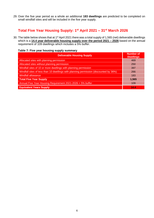29. Over the five year period as a whole an additional **183 dwellings** are predicted to be completed on small windfall sites and will be included in the five year supply.

# **Total Five Year Housing Supply: 1st April 2021 – 31st March 2026**

30. The table below shows that at 1<sup>st</sup> April 2021 there was a total supply of 1,565 (net) deliverable dwellings which is a **14.4 year deliverable housing supply over the period 2021 – 2026** based on the annual requirement of 109 dwellings which includes a 5% buffer.

#### **Table 7: Five year housing supply summary**

| <b>Deliverable Housing Supply</b>                                                     | <b>Number of</b><br><b>Dwellings</b> |
|---------------------------------------------------------------------------------------|--------------------------------------|
| Allocated sites with planning permission                                              | 469                                  |
| Allocated sites without planning permission                                           | 250                                  |
| Windfall sites of 10 or more dwellings with planning permission                       | 397                                  |
| Windfall sites of less than 10 dwellings with planning permission (discounted by 36%) | 266                                  |
| <b>Windfall allowance</b>                                                             | 183                                  |
| <b>Total Five Year Supply</b>                                                         | 1,565                                |
| Annual Five Year Housing Requirement 2021-2026 + 5% buffer                            | 109                                  |
| <b>Equivalent Years Supply</b>                                                        | 14.4                                 |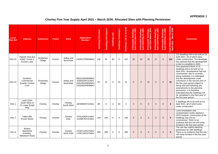#### **APPENDIX 1**

## **Chorley Five Year Supply April 2021 – March 2026: Allocated Sites with Planning Permission**

| Local<br><b>Plan Ref</b> | <b>Address</b>                                                  | <b>Settlement</b>          | <b>Parish</b> | <b>Ward</b>                   | <b>Application</b><br><b>Number</b>                                      | Dwellings Permitted | <b>Dwellings Not Started</b> | Dwellings U/C  | Dwellings Completed | Dwellings Left to be Built | Deliverable Dwellings<br>April 2021-March 2022 | Deliverable Dwellings<br>April 2022-March 2023 | Deliverable Dwellings<br>April 2023-March 2024 | Deliverable Dwellings<br>April 2024-March 2025 | erable Dwellings<br>2025-March 2026<br>Delive<br>April: | Total Deliverable Dwellings<br>April 2021 - March 2026 | <b>Comments</b>                                                                                                                                                                                                                                                                                                                                                                                                                                                         |
|--------------------------|-----------------------------------------------------------------|----------------------------|---------------|-------------------------------|--------------------------------------------------------------------------|---------------------|------------------------------|----------------|---------------------|----------------------------|------------------------------------------------|------------------------------------------------|------------------------------------------------|------------------------------------------------|---------------------------------------------------------|--------------------------------------------------------|-------------------------------------------------------------------------------------------------------------------------------------------------------------------------------------------------------------------------------------------------------------------------------------------------------------------------------------------------------------------------------------------------------------------------------------------------------------------------|
| <b>HS1.21</b>            | Parcels H1d and<br>H <sub>1</sub> b(i), Group 1,<br>Euxton Lane | <b>Buckshaw</b><br>Village | Euxton        | Astley and<br><b>Buckshaw</b> | 19/00137/REMMAJ                                                          | 128                 | 92                           | 30             | 6                   | 122                        | 35                                             | 35                                             | 35                                             | 17                                             | $\mathbf{0}$                                            | $122$                                                  | 122 dwellings left to be built at 1st<br>April 2021, 30 of which were<br>under construction. The developer<br>has advised that the development<br>is due to complete in 2024.                                                                                                                                                                                                                                                                                           |
| <b>HS1.22</b>            | Southern<br>Commercial<br><b>Quarter Central</b><br>Core        | <b>Buckshaw</b><br>Village | Euxton        | Astley and<br><b>Buckshaw</b> | 08/01100/REMMAJ<br>10/00334/FULMAJ<br>10/01052/REMMAJ<br>12/01001/REMMAJ | 83                  | 31                           | $\mathbf 0$    | 52                  | 31                         | $\mathbf{0}$                                   | $\Omega$                                       | 31                                             | $\Omega$                                       | $\mathbf{0}$                                            | 31                                                     | One apartment block of 31<br>dwellings left to be built at 1st<br>April 2021, development had not<br>commenced. Site is currently<br>being marketed, it is estimated<br>that the development could<br>commence in the second year of<br>the five year period subject to<br>being sold and following any<br>amendments to the planning<br>permission. It is therefore<br>estimated that the dwellings will<br>be completed in the third year of<br>the five year period. |
| <b>HS1.1</b>             | Land 120m<br>South West of<br>21 Lower Burgh<br>Way             | Chorley                    | Chorley       | Chorley<br>South West         | 16/00805/FULMAJ                                                          | 88                  | $\Omega$                     | $\overline{4}$ | 84                  | 4                          | $\overline{4}$                                 | $\Omega$                                       | $\Omega$                                       | $\Omega$                                       | $\Omega$                                                | $\overline{4}$                                         | 4 dwellings left to be built at 1st<br>April 2021, all of which were<br>under construction.                                                                                                                                                                                                                                                                                                                                                                             |
| <b>HS1.7</b>             | Talbot Mill,<br>Froom Street                                    | Chorley                    | Chorley       | Chorley<br>East               | 07/01426/FULMAJ<br>11/00875/FULMAJ                                       | 149                 | 149                          | $\mathbf 0$    | 0                   | 149                        | $\mathbf{0}$                                   | $\Omega$                                       | $\mathbf{0}$                                   | $\Omega$                                       | $\mathbf{0}$                                            | $\bf{0}$                                               | Land remediation and<br>contamination works started in<br>2015 however construction of the<br>dwellings has not yet<br>commenced. There is no<br>evidence that the site will come<br>forward in the five year period.                                                                                                                                                                                                                                                   |
| <b>HS1.8</b>             | Botany<br>Bay/Great<br>Knowley,<br>Blackburn Road               | Chorley                    | Chorley       | Chorley<br><b>North East</b>  | 17/00714/OUTMAJ<br>17/00716/OUTMAJ                                       | 288                 | 288                          | $\mathbf 0$    | 0                   | 288                        | $\mathbf{0}$                                   | $\Omega$                                       | $\Omega$                                       | $\Omega$                                       | $\overline{0}$                                          | $\bf{0}$                                               | The site has outline planning<br>permission for 288 dwellings.<br>There is no evidence that the site<br>will come forward in the five year<br>period.                                                                                                                                                                                                                                                                                                                   |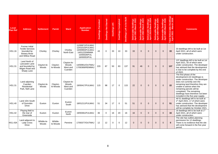| Local<br>Plan Ref | <b>Address</b>                                                                                          | <b>Settlement</b>    | <b>Parish</b>        | Ward                                        | <b>Application</b><br><b>Number</b>                                                                    | Dwellings Permitted | Dwellings Not Started | Dwellings U/C | <b>Dwellings Completed</b> | Dwellings Left to be Built | erable Dwellings<br>2021-March 2022<br>Delive<br>April : | Deliverable Dwellings<br>April 2022-March 2023 | Deliverable Dwellings<br>April 2023-March 2024 | Deliverable Dwellings<br>April 2024-March 2025 | Deliverable Dwellings<br>April 2025-March 2026 | rable Dwellings<br>- March 2026<br>eliver<br>2021<br>otal De | <b>Comments</b>                                                                                                                                                                                                                                                                                                                 |
|-------------------|---------------------------------------------------------------------------------------------------------|----------------------|----------------------|---------------------------------------------|--------------------------------------------------------------------------------------------------------|---------------------|-----------------------|---------------|----------------------------|----------------------------|----------------------------------------------------------|------------------------------------------------|------------------------------------------------|------------------------------------------------|------------------------------------------------|--------------------------------------------------------------|---------------------------------------------------------------------------------------------------------------------------------------------------------------------------------------------------------------------------------------------------------------------------------------------------------------------------------|
| HS1.16            | <b>Former Initial</b><br><b>Textile Services</b><br>bounded by<br><b>Botany Brow</b><br>and Willow Road | Chorley              | Chorley              | Chorley<br>North East                       | 11/00871/FULMAJ<br>12/01015/FULMAJ<br>13/00993/FULMAJ<br>14/01225/MNMA<br>15/00028/FUL<br>16/00053/FUL | 43                  | $\mathbf 0$           | 33            | 10                         | 33                         | 33                                                       | $\Omega$                                       | $\overline{0}$                                 | $\Omega$                                       | $\mathbf{0}$                                   | 33                                                           | 33 dwellings left to be built at 1st<br>April 2021, all of which were<br>under construction.                                                                                                                                                                                                                                    |
| <b>HS1.31</b>     | Land North of<br>Lancaster Lane<br>and bounded by<br>Wigan Road and<br>Shady Lane                       | Clayton-le-<br>Woods | Clayton-<br>le-Woods | Clayton-le-<br>Woods<br>West and<br>Cuerden | 14/00951/OUTMAJ<br>17/00369/REMMAJ                                                                     | 220                 | 87                    | 50            | 83                         | 137                        | 91                                                       | 46                                             | $\Omega$                                       | $\Omega$                                       | $\mathbf{0}$                                   | 137                                                          | 137 dwellings left to be built at 1st<br>April 2021, 50 of which were<br>under construction. The developer<br>has advised that the development<br>is due to be complete by the end<br>of 2022.                                                                                                                                  |
| <b>HS1.31</b>     | Land adjoining<br>Cuerden<br>Residential<br>Park, Nell Lane                                             | Clayton-le-<br>Woods | Clayton-<br>le-Woods | Clayton-le-<br>Woods<br>West and<br>Cuerden | 19/00417/FULMAJ                                                                                        | 115                 | 98                    | 17            | $\Omega$                   | 115                        | 22                                                       | $\Omega$                                       | $\Omega$                                       | $\Omega$                                       | $\Omega$                                       | 22                                                           | The first phase of the<br>development (22 dwellings) is<br>under construction. The developer<br>does not currently own the<br>remaining land therefore they are<br>unable to advise when the<br>remaining parcels will be<br>completed. The remaining<br>dwellings have therefore not been<br>included in the five year supply. |
| HS1.40            | Land 10m South<br>of Dunrobin<br><b>Drive</b>                                                           | Euxton               | Euxton               | Euxton<br>South                             | 18/01211/FULMAJ                                                                                        | 51                  | 34                    | 17            | $\Omega$                   | 51                         | 51                                                       | $\Omega$                                       | $\Omega$                                       | $\Omega$                                       | $\Omega$                                       | 51                                                           | All 51 dwellings left to be built at<br>1 <sup>st</sup> April 2021, 17 of which were<br>under construction. The developer<br>has advised that the development<br>will be complete by October 2021.                                                                                                                              |
| <b>HS1.42</b>     | Playing field to<br>the rear of<br>Greenside                                                            | Euxton               | Euxton               | Euxton<br>North                             | 19/00361/FULMAJ                                                                                        | 36                  | $\mathbf 0$           | 16            | 20                         | 16                         | 16                                                       | $\Omega$                                       | $\mathbf{0}$                                   | $\mathbf{0}$                                   | $\overline{0}$                                 | 16                                                           | 16 dwellings left to be built at 1 <sup>st</sup><br>April 2021, all of which were<br>under construction.                                                                                                                                                                                                                        |
| <b>HS1.43A</b>    | Land adjacent to<br>Lady Cross<br><b>Drive</b>                                                          | Whittle-le-<br>Woods | Whittle-<br>le-Woods | Pennine                                     | 17/00377/OUTMAJ                                                                                        | 12                  | 12                    | 0             | $\Omega$                   | 12                         | $\Omega$                                                 | $\Omega$                                       | $\Omega$                                       | $\Omega$                                       | $\Omega$                                       | $\Omega$                                                     | The site has outline planning<br>permission for 12 dwellings.<br>There is no evidence that the site<br>will come forward in the five year<br>period.                                                                                                                                                                            |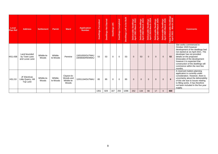| Local<br><b>Plan Ref</b> | <b>Address</b>                                    | <b>Settlement</b>    | <b>Parish</b>        | Ward                                             | <b>Application</b><br><b>Number</b> | Permitted<br>Dwellings | <b>Dwellings Not Started</b> | Dwellings U/C | Dwellings Completed | Dwellings Left to be Built | Deliverable Dwellings<br>April 2021-March 2022 | Deliverable Dwellings<br>April 2022-March 2023 | Deliverable Dwellings<br>April 2023-March 2024 | Deliverable Dwellings<br>April 2024-March 2025 | Deliverable Dwellings<br>April 2025-March 2026 | eliverable Dwellings<br>2021 - March 2026<br>otal D | <b>Comments</b>                                                                                                                                                                                                                                                                                                                     |
|--------------------------|---------------------------------------------------|----------------------|----------------------|--------------------------------------------------|-------------------------------------|------------------------|------------------------------|---------------|---------------------|----------------------------|------------------------------------------------|------------------------------------------------|------------------------------------------------|------------------------------------------------|------------------------------------------------|-----------------------------------------------------|-------------------------------------------------------------------------------------------------------------------------------------------------------------------------------------------------------------------------------------------------------------------------------------------------------------------------------------|
| <b>HS1.43B</b>           | Land bounded<br>by Town Lane<br>and Lucas Lane    | Whittle-le-<br>Woods | Whittle-<br>le-Woods | Pennine                                          | 13/01055/OUTMAJ<br>19/00830/REMMAJ  | 53                     | 53                           | 0             | $\mathbf 0$         | 53                         | $\mathbf{0}$                                   | 53                                             | $\mathbf{0}$                                   | $\overline{0}$                                 | $\mathbf 0$                                    | 53                                                  | Site works commenced in<br>October 2020 however<br>development of the dwellings had<br>not started at 1st April 2021. The<br>developer has not provided<br>details on the proposed<br>timescales of the development<br>however it is expected that<br>construction of the dwellings will<br>commence within the next few<br>months. |
| HS1.53                   | JF Electrical,<br>Little Quarry, Hill<br>Top Lane | Whittle-le-<br>Woods | Whittle-<br>le-Woods | Clayton-le-<br>Woods and<br>Whittle-le-<br>Woods | 12/01134/OUTMAJ                     | 85                     | 85                           | 0             | 0                   | 85                         | $\overline{0}$                                 | $\mathbf 0$                                    | $\mathbf{0}$                                   | $\mathbf 0$                                    | $\overline{0}$                                 | $\bf{0}$                                            | A reserved matters planning<br>application is currently under<br>consideration. However, there is<br>uncertainty about the deliverability<br>of this site due to issues relating<br>to filling works. It has therefore<br>not been included in the five year<br>supply.                                                             |
|                          |                                                   |                      |                      |                                                  |                                     | 1351                   | 929                          | 167           | 255                 | 1096                       | 252                                            | 134                                            | 66                                             | 17                                             | $\mathbf{0}$                                   | 469                                                 |                                                                                                                                                                                                                                                                                                                                     |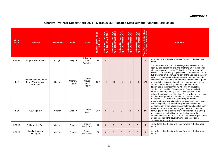#### **APPENDIX 2**

## **Chorley Five Year Supply April 2021 – March 2026: Allocated Sites without Planning Permission**

| Local<br>Plan<br><b>Ref</b> | <b>Address</b>                                                | <b>Settlement</b> | <b>Parish</b>       | Ward                                 | <b>Number of Dwellings</b><br>Allocated | Deliverable Dwellings<br>April 2021-March 2022 | Deliverable Dwellings<br>April 2022-March 2023 | Deliverable Dwellings<br>April 2023-March 2024 | Deliverable Dwellings<br>April 2024-March 2025 | Deliverable Dwellings<br>April 2025-March 2026 | Total Deliverable Dwellings<br>April 2021 - March 2026 | <b>Comments</b>                                                                                                                                                                                                                                                                                                                                                                                                                                                                                                                                                                                                                                                                                                                                                                                                                                                                                                                              |
|-----------------------------|---------------------------------------------------------------|-------------------|---------------------|--------------------------------------|-----------------------------------------|------------------------------------------------|------------------------------------------------|------------------------------------------------|------------------------------------------------|------------------------------------------------|--------------------------------------------------------|----------------------------------------------------------------------------------------------------------------------------------------------------------------------------------------------------------------------------------------------------------------------------------------------------------------------------------------------------------------------------------------------------------------------------------------------------------------------------------------------------------------------------------------------------------------------------------------------------------------------------------------------------------------------------------------------------------------------------------------------------------------------------------------------------------------------------------------------------------------------------------------------------------------------------------------------|
| HS1.26                      | Fairport, Market Place                                        | Adlington         | Adlington           | Adlington<br>and<br>Anderton         | 31                                      | $\Omega$                                       | $\Omega$                                       | $\Omega$                                       | $\Omega$                                       | $\Omega$                                       | $\bf{0}$                                               | No evidence that the site will come forward in the five year<br>period.                                                                                                                                                                                                                                                                                                                                                                                                                                                                                                                                                                                                                                                                                                                                                                                                                                                                      |
| <b>HS1.1</b>                | Eaves Green, off Lower<br>Burgh Way (remaining<br>allocation) | Chorley           | Chorley/<br>Coppull | Chorley<br>South<br>West/<br>Coppull | 232                                     | 10                                             | 40                                             | 40                                             | 40                                             | 40                                             | 170                                                    | The site is allocated for 419 dwellings. 99 dwellings have<br>been built on part of the site and another part of the site has<br>full planning permission for 88 dwellings. This leaves 232<br>dwellings. A full planning application was recently refused for<br>201 dwellings on the remaining part of the site due to viability<br>issues. This decision has been appealed and an Inquiry is<br>scheduled for May. However, the developer has now agreed<br>to provide the required affordable housing and open space<br>contributions with the only outstanding matter to be<br>determined at the Inquiry bein8 whether an education<br>contribution is justified. The outcome of the appeal will<br>therefore be that planning permission is granted with or<br>without the education contribution. The developed has stated<br>that the development is scheduled to commence late<br>2021/early 2022 with a five year build programme. |
| <b>HS1.5</b>                | <b>Cowling Farm</b>                                           | Chorley           | Chorley             | Chorley<br>East                      | 158                                     | $\overline{0}$                                 | $\overline{0}$                                 | $\Omega$                                       | 32                                             | 48                                             | 80                                                     | A land exchange has taken place between the Council and<br>Homes England, with Homes England now owning the<br>residential part of the allocation. A masterplan has also been<br>prepared for the site. Homes England have advised that<br>following approval of outline and reserved matters planning<br>applications, housebuilding on the site is expected to<br>commence by the end of July 2024. 4 completions per month<br>are expected and the development is expected to be<br>complete by Spring 2028.                                                                                                                                                                                                                                                                                                                                                                                                                              |
| <b>HS1.17</b>               | Cabbage Hall Fields                                           | Chorley           | Chorley             | Chorley<br>North East                | 11                                      | $\Omega$                                       | $\overline{0}$                                 | $\mathbf{0}$                                   | $\overline{0}$                                 | $\overline{0}$                                 | $\mathbf 0$                                            | No evidence that the site will come forward in the five year<br>period.                                                                                                                                                                                                                                                                                                                                                                                                                                                                                                                                                                                                                                                                                                                                                                                                                                                                      |
| HS1.19                      | Land adjacent to<br>Northgate                                 | Chorley           | Chorley             | Chorley<br>North East                | 21                                      | $\Omega$                                       | $\overline{0}$                                 | $\Omega$                                       | $\Omega$                                       | $\Omega$                                       | $\bf{0}$                                               | No evidence that the site will come forward in the five year<br>period.                                                                                                                                                                                                                                                                                                                                                                                                                                                                                                                                                                                                                                                                                                                                                                                                                                                                      |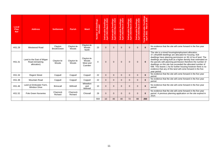| Local<br>Plan<br>Ref | <b>Address</b>                                              | <b>Settlement</b>      | <b>Parish</b>        | Ward                                        | <b>Number of Dwellings</b><br>Allocated | Deliverable Dwellings<br>April 2021-March 2022 | Deliverable Dwellings<br>April 2022-March 2023 | Deliverable Dwellings<br>April 2023-March 2024 | Deliverable Dwellings<br>April 2024-March 2025 | Deliverable Dwellings<br>April 2025-March 2026 | Total Deliverable Dwellings<br>April 2021 - March 2026 | <b>Comments</b>                                                                                                                                                                                                                                                                                                                                                                                                                                                                                                              |
|----------------------|-------------------------------------------------------------|------------------------|----------------------|---------------------------------------------|-----------------------------------------|------------------------------------------------|------------------------------------------------|------------------------------------------------|------------------------------------------------|------------------------------------------------|--------------------------------------------------------|------------------------------------------------------------------------------------------------------------------------------------------------------------------------------------------------------------------------------------------------------------------------------------------------------------------------------------------------------------------------------------------------------------------------------------------------------------------------------------------------------------------------------|
| HS1.29               | Westwood Road                                               | Clayton<br>Brook/Green | Clayton-le-<br>Woods | Clayton-le-<br>Woods<br>North               | 23                                      | $\Omega$                                       | $\Omega$                                       | $\Omega$                                       | $\Omega$                                       | $\Omega$                                       | $\Omega$                                               | No evidence that the site will come forward in the five year<br>period.                                                                                                                                                                                                                                                                                                                                                                                                                                                      |
| HS1.31               | Land to the East of Wigan<br>Road (remaining<br>allocation) | Clayton-le-<br>Woods   | Clayton-le-<br>Woods | Clayton-le-<br>Woods<br>West and<br>Cuerden | $\Omega$                                | $\Omega$                                       | $\Omega$                                       | $\Omega$                                       | $\Omega$                                       | $\Omega$                                       | $\bf{0}$                                               | The site is a mixed housing/employment allocation.<br>37.14ha/699 dwellings are allocated for housing. 818<br>dwellings have planning permission on 36.14 ha of land. The<br>dwellings are being built at a higher density than estimated on<br>the parcels with planning permission therefore the number of<br>dwellings on this site has exceeded the allocated number of<br>699. This leaves 1 ha for further housing however there is no<br>evidence that any of this land will come forward in the five<br>year period. |
| <b>HS1.34</b>        | <b>Regent Street</b>                                        | Coppull                | Coppull              | Coppull                                     | 22                                      | $\Omega$                                       | $\Omega$                                       | $\Omega$                                       | $\Omega$                                       | $\Omega$                                       | $\mathbf{0}$                                           | No evidence that the site will come forward in the five year<br>period.                                                                                                                                                                                                                                                                                                                                                                                                                                                      |
| <b>HS1.38</b>        | Mountain Road                                               | Coppull                | Coppull              | Coppull                                     | 22                                      | $\Omega$                                       | $\Omega$                                       | $\Omega$                                       | $\Omega$                                       | $\Omega$                                       | $\bf{0}$                                               | No evidence that the site will come forward in the five year<br>period.                                                                                                                                                                                                                                                                                                                                                                                                                                                      |
| HS1.46               | Land at Drinkwater Farm,<br><b>Windsor Drive</b>            | <b>Brinscall</b>       | Withnell             | Wheelton<br>and<br>Withnell                 | 10                                      | $\Omega$                                       | $\Omega$                                       | $\Omega$                                       | $\Omega$                                       | $\Omega$                                       | $\bf{0}$                                               | No evidence that the site will come forward in the five year<br>period.                                                                                                                                                                                                                                                                                                                                                                                                                                                      |
| HS1.52               | Pole Green Nurseries                                        | Charnock<br>Richard    | Charnock<br>Richard  | Chisnall                                    | 29                                      | $\Omega$                                       | $\Omega$                                       | $\Omega$                                       | $\Omega$                                       | $\Omega$                                       | $\mathbf{0}$                                           | No evidence that the site will come forward in the five year<br>period. A previous planning application on the site expired in<br>2014.                                                                                                                                                                                                                                                                                                                                                                                      |
|                      |                                                             |                        |                      |                                             | 559                                     | 10                                             | 40                                             | 40                                             | 72                                             | 88                                             | 250                                                    |                                                                                                                                                                                                                                                                                                                                                                                                                                                                                                                              |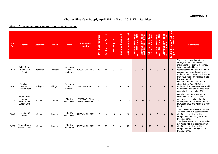#### **APPENDIX 3**

## **Chorley Five Year Supply April 2021 – March 2026: Windfall Sites**

### Sites of 10 or more dwellings with planning permission

| <b>Site</b><br>Ref | <b>Address</b>                                        | <b>Settlement</b> | <b>Parish</b> | <b>Ward</b>                  | <b>Application</b><br><b>Number</b> | <b>Dwellings Permitted</b> | Dwellings Not Started | Dwellings U/C | Dwellings Completed | Dwellings Left to be Built | Deliverable Dwellings<br>April 2021-March 2022 | Deliverable Dwellings<br>April 2022-March 2023 | Dwellings<br>March 2024<br>Deliverable D<br>April 2023-Ma | Deliverable Dwellings<br>April 2024-March 2025 | Deliverable Dwellings<br>April 2025-March 2026 | able Dwellings<br>March 2026<br>able<br>n.<br>eliver:<br>2021<br>otal De | <b>Comments</b>                                                                                                                                                                                                                                                                                                  |
|--------------------|-------------------------------------------------------|-------------------|---------------|------------------------------|-------------------------------------|----------------------------|-----------------------|---------------|---------------------|----------------------------|------------------------------------------------|------------------------------------------------|-----------------------------------------------------------|------------------------------------------------|------------------------------------------------|--------------------------------------------------------------------------|------------------------------------------------------------------------------------------------------------------------------------------------------------------------------------------------------------------------------------------------------------------------------------------------------------------|
| 2642               | <b>White Bear</b><br>Marina, Park<br>Road             | Adlington         | Adlington     | Adlington<br>and<br>Anderton | 10/00812/FULMAJ                     | 48                         | 14                    | $\Omega$      | 34                  | 14                         | $\Omega$                                       | $\Omega$                                       | $\Omega$                                                  | $\Omega$                                       | $\Omega$                                       | $\mathbf{0}$                                                             | This permission relates to the<br>change of use of 48 leisure<br>moorings to residential moorings.<br>34 moorings had become<br>residential by 1st April 2021. There<br>is uncertainty over the deliverability<br>of the remaining moorings therefore<br>they have not been included in the<br>five year supply. |
| 3491               | Fairclough<br>House.<br><b>Church Street</b>          | Adlington         | Adlington     | Adlington<br>and<br>Anderton | 19/00840/P3PAJ                      | 56                         | 56                    | $\Omega$      | $\Omega$            | 56                         | $\Omega$                                       | 56                                             | $\Omega$                                                  | $\Omega$                                       | $\Omega$                                       | 56                                                                       | Development of the site had not<br>started at 1st April 2021. It is<br>estimated that the development will<br>be completed by the required date<br>which is 15th November 2022.                                                                                                                                  |
| 3125               | Land 200m<br>North of<br>Derian House.<br>Euxton Lane | Chorley           | Chorley       | Chorley<br>North West        | 15/00224/OUTMAJ<br>19/00904/REMMAJ  | 122                        | 122                   | $\Omega$      | $\Omega$            | 122                        | 26                                             | 41                                             | 41                                                        | 14                                             | $\mathbf{0}$                                   | $122$                                                                    | Development of the site had not<br>started at 1 <sup>st</sup> April 2021. The<br>developer has advised that the<br>development is due to commence<br>in August 2021 and will be a 3 year<br>build.                                                                                                               |
| 3348               | 5-9 Queens<br>Road                                    | Chorley           | Chorley       | Chorley<br>North West        | 17/00490/FULMAJ                     | 18                         | $\Omega$              | 18            | $\Omega$            | 18                         | 18                                             | $\Omega$                                       | $\Omega$                                                  | $\Omega$                                       | $\Omega$                                       | 18                                                                       | The site was under construction at<br>1st April 2021. It is estimated that<br>all of these dwellings will be<br>completed in the first year of the<br>five year period.                                                                                                                                          |
| 3475               | Alfreds Court,<br><b>Market Street</b>                | Chorley           | Chorley       | Chorley<br>South East        | 19/00145/FULMAJ                     | 25                         | 25                    | $\Omega$      | $\Omega$            | 25                         | $\Omega$                                       | $\mathbf{0}$                                   | 25                                                        | $\Omega$                                       | $\Omega$                                       | 25                                                                       | The development had not started at<br>1st April 2021. It is estimated that<br>all of these dwellings will be<br>completed by the third year of the<br>five year period.                                                                                                                                          |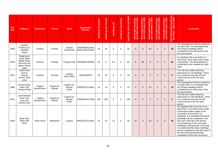| <b>Site</b><br><b>Ref</b> | <b>Address</b>                                                                          | <b>Settlement</b>      | <b>Parish</b>        | <b>Ward</b>                   | <b>Application</b><br><b>Number</b> | <b>Dwellings Permitted</b> | Dwellings Not Started | Dwellings U/C | Dwellings Completed | Dwellings Left to be Built | Deliverable Dwellings<br>April 2021-March 2022 | Deliverable Dwellings<br>April 2022-March 2023 | Deliverable Dwellings<br>April 2023-March 2024 | Deliverable Dwellings<br>April 2024-March 2025 | Deliverable Dwellings<br>April 2025-March 2026 | Dwellings<br>rch 2026<br>otal Deliverable Dw<br>April 2021 - March | <b>Comments</b>                                                                                                                                                                                                                                                                                                                                                                                                                                                                                           |
|---------------------------|-----------------------------------------------------------------------------------------|------------------------|----------------------|-------------------------------|-------------------------------------|----------------------------|-----------------------|---------------|---------------------|----------------------------|------------------------------------------------|------------------------------------------------|------------------------------------------------|------------------------------------------------|------------------------------------------------|--------------------------------------------------------------------|-----------------------------------------------------------------------------------------------------------------------------------------------------------------------------------------------------------------------------------------------------------------------------------------------------------------------------------------------------------------------------------------------------------------------------------------------------------------------------------------------------------|
| 3485                      | Haslem<br>Printers Ltd,<br>Standish<br><b>Street</b>                                    | Chorley                | Chorley              | Chorley<br>South East         | 19/00090/FULMAJ<br>20/01134/FULMAJ  | 30                         | 30                    | $\Omega$      | $\Omega$            | 30                         | $\Omega$                                       | $\Omega$                                       | 30                                             | $\Omega$                                       | $\Omega$                                       | 30                                                                 | The development had not started at<br>1st April 2021. It is estimated that<br>all of these dwellings will be<br>completed by the third year of the<br>five year period.                                                                                                                                                                                                                                                                                                                                   |
| 3563                      | Stagecoach<br>North West<br><b>Ribble Motor</b><br>Services bus<br>depot, Eaves<br>Lane | Chorley                | Chorley              |                               | Chorley East 20/00835/CB3MAJ        | 62                         | $\Omega$              | 62            | $\Omega$            | 62                         | $\Omega$                                       | 62                                             | $\Omega$                                       | $\Omega$                                       | $\Omega$                                       | 62                                                                 | 62 dwellings left to be built at 1st<br>April 2021, all of which were under<br>construction. The development is<br>scheduled to be complete by April<br>2022.                                                                                                                                                                                                                                                                                                                                             |
| 3572                      | Land to the<br>east of<br>Sumner<br>House, Dole<br>Lane                                 | Chorley                | Chorley              | Chorley<br>North West         | 20/01259/OUT                        | 18                         | 18                    | $\Omega$      | $\Omega$            | 18                         | $\Omega$                                       | $\mathbf{0}$                                   | $\Omega$                                       | $\Omega$                                       | $\Omega$                                       | $\mathbf{0}$                                                       | The site has outline planning<br>permission for 18 dwellings. There<br>is no evidence that the site will<br>come forward in the five year<br>period.                                                                                                                                                                                                                                                                                                                                                      |
| 3486                      | <b>Brook House</b><br>Hotel, 662<br><b>Preston Road</b>                                 | Clayton<br>Brook/Green | Clayton-le-<br>Woods | Clayton-le-<br>Woods<br>North | 19/00075/FULMAJ                     | 14                         | 14                    | $\Omega$      | $\Omega$            | 14                         | $\Omega$                                       | $\Omega$                                       | 14                                             | $\Omega$                                       | $\Omega$                                       | 14                                                                 | The development had not started at<br>1st April 2021. It is estimated that<br>all of these dwellings will be<br>completed by the third year of the<br>five year period.                                                                                                                                                                                                                                                                                                                                   |
| 3541                      | Land between<br>Pear Tree<br>Lane and<br>School Lane                                    | Clayton<br>Brook/Green | Clayton-le-<br>Woods | Clayton-le-<br>Woods<br>North | 19/00654/OUTMAJ                     | 180                        | 180                   | $\Omega$      | $\Omega$            | 180                        | $\Omega$                                       | $\Omega$                                       | $\Omega$                                       | $\Omega$                                       | $\Omega$                                       | $\mathbf{0}$                                                       | The site has outline planning<br>permission for 180 dwellings. There<br>is no evidence that the site will<br>come forward in the five year<br>period.                                                                                                                                                                                                                                                                                                                                                     |
| 2933                      | Bank Hall,<br><b>Bank Hall</b><br>Drive                                                 | <b>Other Rural</b>     | <b>Bretherton</b>    | Lostock                       | 09/01021/FULMAJ                     | 35                         | 23                    | 12            | $\Omega$            | 35                         | 12                                             | $\mathbf{0}$                                   | 23                                             | $\Omega$                                       | $\mathbf 0$                                    | 35                                                                 | 35 dwellings left to be built at 1st<br>April 2021, 12 of which were under<br>construction which relate to the<br>conversion of the hall to 12<br>dwellings. It is estimated that these<br>dwellings will be completed in the<br>first year of the five year period.<br>The remaining 23 are new build<br>dwellings in the grounds of the hall.<br>It is estimated that these dwellings<br>will be completed in the third year of<br>the five year period following<br>completion of the hall conversion. |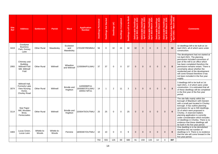| <b>Site</b><br><b>Ref</b> | <b>Address</b>                                                                         | <b>Settlement</b>    | <b>Parish</b>        | Ward                          | <b>Application</b><br><b>Number</b>             | <b>Dwellings Permitted</b> | Dwellings Not Started | Dwellings U/C | Dwellings Completed | Dwellings Left to be Built | Deliverable Dwellings<br>April 2021-March 2022 | Deliverable Dwellings<br>April 2022-March 2023 | Deliverable Dwellings<br>April 2023-March 2024 | Deliverable Dwellings<br>April 2024-March 2025 | erable Dwellings<br>2025-March 2026<br>Deliverable<br>April 2025- | Total Deliverable Dwellings<br>April 2021 - March 2026 | <b>Comments</b>                                                                                                                                                                                                                                                                                                                                                                                                                                      |
|---------------------------|----------------------------------------------------------------------------------------|----------------------|----------------------|-------------------------------|-------------------------------------------------|----------------------------|-----------------------|---------------|---------------------|----------------------------|------------------------------------------------|------------------------------------------------|------------------------------------------------|------------------------------------------------|-------------------------------------------------------------------|--------------------------------------------------------|------------------------------------------------------------------------------------------------------------------------------------------------------------------------------------------------------------------------------------------------------------------------------------------------------------------------------------------------------------------------------------------------------------------------------------------------------|
| 3419                      | Goodyear<br><b>Business</b><br>Park, Gorsey<br>Lane                                    | <b>Other Rural</b>   | Mawdesley            | Eccleston<br>and<br>Mawdesley | 17/01097/REMMAJ                                 | 56                         | $\Omega$              | 32            | 24                  | 32                         | 32                                             | $\Omega$                                       | $\Omega$                                       | $\Omega$                                       | $\Omega$                                                          | 32                                                     | 32 dwellings left to be built at 1st<br>April 2021, all of which were under<br>construction.                                                                                                                                                                                                                                                                                                                                                         |
| 2955                      | Chimney and<br>Building,<br>Withnell Fold<br>Mill. Withnell<br>Fold                    | Other Rural          | Withnell             | Wheelton<br>and Withnell      | 12/00084/FULMAJ                                 | 37                         | 37                    | $\Omega$      | $\Omega$            | 37                         | $\Omega$                                       | $\Omega$                                       | $\Omega$                                       | $\Omega$                                       | $\Omega$                                                          | $\mathbf{0}$                                           | The development had not started at<br>1st April 2021. The planning<br>permission included conversion of<br>part of the mill to an office which<br>has been completed therefore the<br>permission remains extant. There is<br>uncertainty about whether the<br>residential part of the development<br>will come forward therefore it has<br>not been included in the five year<br>supply.                                                             |
| 3074                      | Withnell Hall,<br><b>Formerly Lake</b><br><b>View Nursing</b><br>Home,<br>Chorley Road | <b>Other Rural</b>   | Withnell             | Brindle and<br>Hoghton        | 14/00098/FUL<br>16/00697/FULMAJ<br>19/00173/FUL | 14                         | $\overline{1}$        | 2             | 11                  | 3                          | 3                                              | $\mathbf{0}$                                   | $\mathbf{0}$                                   | $\Omega$                                       | $\mathbf{0}$                                                      | $\overline{3}$                                         | 3 dwellings left to be built at 1st<br>April 2021, 2 of which were under<br>construction. It is estimated that all<br>of these dwellings will be completed<br>in the first year of the five year<br>period.                                                                                                                                                                                                                                          |
| 3114                      | Star Paper<br>Mill, Moulden<br>Brow,<br>Feniscowles                                    | <b>Other Rural</b>   | Withnell             | <b>Brindle and</b><br>Hoghton | 15/00475/OUTMAJ                                 | 25                         | 25                    | $\Omega$      | $\Omega$            | 25                         | $\Omega$                                       | $\mathbf{0}$                                   | $\mathbf{0}$                                   | $\Omega$                                       | $\mathbf{0}$                                                      | $\mathbf{0}$                                           | The site falls mainly within the<br>borough of Blackburn with Darwen<br>with a small part located in Chorley<br>borough. It has outline planning<br>permission for up to 500 dwellings,<br>25 of which were proposed in<br>Chorley. A reserved matters<br>planning application is currently<br>under consideration which includes<br>22 dwellings in Chorley. There is no<br>evidence that these dwellings will<br>be built in the five year period. |
| 3483                      | Lucas Green.<br>Lucas Lane                                                             | Whittle-le-<br>Woods | Whittle-le-<br>Woods | Pennine                       | 18/00367/OUTMAJ                                 | 10                         | 10                    | $\Omega$      | $\Omega$            | 9                          | $\Omega$                                       | $\Omega$                                       | $\Omega$                                       | $\Omega$                                       | $\mathbf{0}$                                                      | $\mathbf{0}$                                           | One dwelling is to be demolished<br>therefore the net number of<br>dwellings is 9. There is no evidence<br>that the site will come forward in the<br>five year period.                                                                                                                                                                                                                                                                               |
|                           |                                                                                        |                      |                      |                               |                                                 | 750                        | 555                   | 126           | 69                  | 680                        | 91                                             | 159                                            | 133                                            | 14                                             | $\Omega$                                                          | 397                                                    |                                                                                                                                                                                                                                                                                                                                                                                                                                                      |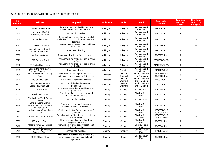## Sites of less than 10 dwellings with planning permission

| <b>Site</b><br><b>Reference</b> | <b>Address</b>                                                               | <b>Proposal</b>                                                                                      | <b>Settlement</b> | <b>Parish</b>     | <b>Ward</b>                            | <b>Application</b><br><b>Number</b> | <b>Dwellings</b><br><b>Permitted</b><br>(Gross) | <b>Dwellings</b><br><b>Left To Be</b><br><b>Built (Net)</b> |
|---------------------------------|------------------------------------------------------------------------------|------------------------------------------------------------------------------------------------------|-------------------|-------------------|----------------------------------------|-------------------------------------|-------------------------------------------------|-------------------------------------------------------------|
| 3447                            | 169-171 Chorley Road                                                         | Change of use from dwelling and post<br>office to funeral directors and 3 flats                      | Adlington         | Adlington         | Adlington and<br>Anderton              | 18/01093/FUL                        | 3                                               | 3                                                           |
| 3462                            | Land rear of 24-26<br>Westhoughton Road                                      | Erection of 7 dwellings                                                                              | Adlington         | Adlington         | Adlington and<br>Anderton              | 18/00191/FUL                        | $\overline{7}$                                  | $\overline{7}$                                              |
| 3489                            | 1-3 Market Street                                                            | Change of use from restaurant to retail<br>and offices on ground floor and 3 flats on<br>first floor | Adlington         | Adlington         | Adlington and<br>Anderton              | 19/00872/FUL                        | 3                                               | 3                                                           |
| 3532                            | 51 Windsor Avenue                                                            | Change of use from dwelling to childrens<br>care home                                                | Adlington         | Adlington         | Adlington and<br>Anderton              | 20/00660/FUL                        | $\Omega$                                        | $-1$                                                        |
| 3539                            | Land adjacent to 1 Melling<br>Close, Bolton Road                             | Erection of dwelling                                                                                 | Adlington         | Adlington         | Adlington and<br>Anderton              | 19/00767/FUL                        | $\mathbf{1}$                                    | $\mathbf{1}$                                                |
| 3553                            | 46 Church Street                                                             | Erection of dwelling to form end terrace                                                             | Adlington         | Adlington         | Adlington and<br>Anderton              | 20/00777/FUL                        | $\overline{1}$                                  | $\mathbf{1}$                                                |
| 3579                            | 76A Railway Road                                                             | Prior approval for change of use of office<br>to flat                                                | Adlington         | Adlington         | Adlington and<br>Anderton              | 20/01362/P3PAJ                      | $\mathbf{1}$                                    | $\mathbf{1}$                                                |
| 3580                            | 35 Castle House Lane                                                         | Prior approval for change of use of office<br>to dwelling                                            | Adlington         | Adlington         | Adlington and<br>Anderton              | 21/00067/P3PAJ                      | $\overline{1}$                                  | $\mathbf{1}$                                                |
| 3581                            | Land to the north east of<br>Raveloe, Beech Avenue                           | Erection of dwelling                                                                                 | Adlington         | Anderton          | Adlington and<br>Anderton              | 21/00101/OUT                        | $\mathbf{1}$                                    | $\mathbf{1}$                                                |
| 3105                            | Hole House Farm, Chorley<br>Road                                             | Demolition of existing farmhouse and<br>outbuildings and erection of 6 dwellings                     | Adlington         | Heath<br>Charnock | <b>Heath Charnock</b><br>and Rivington | 15/00556/OUT<br>18/00060/FUL        | 6                                               | 5                                                           |
| 3429                            | 113 Chorley Road                                                             | Erection of replacement dwelling                                                                     | Adlington         | Heath<br>Charnock | <b>Heath Charnock</b><br>and Rivington | 18/00140/FUL                        | $\mathbf{1}$                                    | 0                                                           |
| 3521                            | Land south of 3 Mercer<br>Court, Rawlinson Lane                              | Demolition of shed and erection of 2<br>bungalows                                                    | Adlington         | Heath<br>Charnock | <b>Heath Charnock</b><br>and Rivington | 20/00170/FUL                        | $\overline{2}$                                  | $\overline{2}$                                              |
| 2629                            | 21 Yarrow Road                                                               | Change of use of the ground floor from<br>shop to residential                                        | Chorley           | Chorley           | Chorley East                           | 10/00655/FUL                        | $\mathbf{1}$                                    | $\mathbf{1}$                                                |
| 2633                            | 6 Weldbank Street                                                            | Demolition of existing extension and<br>erection of new dwelling                                     | Chorley           | Chorley           | Chorley South<br>East                  | 10/00751/FUL                        | $\mathbf{1}$                                    | $\mathbf{1}$                                                |
| 2804                            | The Builders Yard, Froom<br><b>Street</b>                                    | Erection of 4 dwellings                                                                              | Chorley           | Chorley           | Chorley East                           | 12/00059/FUL                        | 4                                               | $\overline{4}$                                              |
| 2826                            | Land including Grafton<br>House and The Courtyard,<br><b>Anderton Street</b> | Change of use from office/storage<br>accommodation to 3 dwellings                                    | Chorley           | Chorley           | Chorley South<br>East                  | 12/00407/FUL                        | 3                                               | $\mathbf{1}$                                                |
| 3122                            | Land adjoining 43 Weldbank<br>Lane                                           | Outline application for the erection of 2<br>dwellings                                               | Chorley           | Chorley           | Chorley South<br>East                  | 15/00982/OUT<br>19/00040/OUT        | 2                                               | $\overline{2}$                                              |
| 3213                            | The Moor Inn. 26 Moor Road                                                   | Demolition of the Moor Inn and erection of<br>8 apartments                                           | Chorley           | Chorley           | <b>Chorley South</b><br>West           | 16/00953/OUT<br>17/01160/REM        | 8                                               | 8                                                           |
| 3309                            | 125 Market Street                                                            | Change of use of second floor from<br>storage to apartment                                           | Chorley           | Chorley           | <b>Chorley South</b><br>East           | 17/00331/FUL                        | $\mathbf{1}$                                    | $\mathbf{1}$                                                |
| 3410                            | Masons Arms, 98 Harpers<br>Lane                                              | Conversion of living accommodation at<br>first floor to 2 flats                                      | Chorley           | Chorley           | <b>Chorley North</b><br>East           | 18/00340/FUL                        | 2                                               | $\mathbf{2}$                                                |
| 3411                            | Chorley Valeting Services, 86<br><b>Anderton Street</b>                      | Erection of 2 dwellings                                                                              | Chorley           | Chorley           | <b>Chorley South</b><br>East           | 18/00164/OUT                        | $\overline{2}$                                  | $\overline{2}$                                              |
| 3425                            | 61-69 Clifford Street                                                        | Demolition of building and erection of 3<br>storey building comprising retail and 4<br>apartments    | Chorley           | Chorley           | Chorley South<br>East                  | 17/01081/FUL                        | 4                                               | 4                                                           |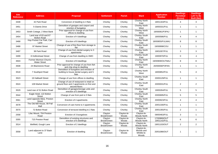| <b>Site</b><br><b>Reference</b> | <b>Address</b>                               | <b>Proposal</b>                                                                                         | <b>Settlement</b>      | <b>Parish</b>        | <b>Ward</b>                                      | <b>Application</b><br><b>Number</b> | <b>Dwellings</b><br><b>Permitted</b><br>(Gross) | <b>Dwellings</b><br><b>Left To Be</b><br><b>Built (Net)</b> |
|---------------------------------|----------------------------------------------|---------------------------------------------------------------------------------------------------------|------------------------|----------------------|--------------------------------------------------|-------------------------------------|-------------------------------------------------|-------------------------------------------------------------|
| 3448                            | 42 Park Road                                 | Conversion of dwelling to 4 flats                                                                       | Chorley                | Chorley              | <b>Chorley North</b><br>East                     | 18/01163/FUL                        | $\overline{4}$                                  | 3                                                           |
| 3451                            | 5 Glamis Drive                               | Demolition of garages and carport and<br>erection of bungalow                                           | Chorley                | Chorley              | <b>Chorley North</b><br>West                     | 18/00331/FUL                        | $\mathbf{1}$                                    | $\mathbf{1}$                                                |
| 3453                            | Smith Cottage, 2 West Bank                   | Prior approval for change of use from<br>offices to dwelling                                            | Chorley                | Chorley              | <b>Chorley North</b><br>West                     | 19/00081/P3PAJ                      | $\mathbf{1}$                                    | $\mathbf{1}$                                                |
| 3454                            | Land rear of 63 and 67<br><b>Bolton Road</b> | Erection of 4 dwellings                                                                                 | Chorley                | Chorley              | <b>Chorley South</b><br>East                     | 18/00586/FUL                        | $\overline{4}$                                  | $\overline{4}$                                              |
| 3468                            | Hop Pocket Car Park, Carr<br>Lane            | Erection of 8 dwellings                                                                                 | Chorley                | Chorley              | <b>Chorley South</b><br>East                     | 18/00855/FULMAJ                     | 8                                               | 8                                                           |
| 3488                            | 97 Market Street                             | Change of use of first floor from storage to<br>flat                                                    | Chorley                | Chorley              | Chorley South<br>East                            | 19/00898/COU                        | $\mathbf{1}$                                    | $\mathbf{1}$                                                |
| 3497                            | 38 Park Road                                 | Change of use from dental surgery to 3<br>apartments                                                    | Chorley                | Chorley              | Chorley North<br>East                            | 19/01007/FUL                        | 3                                               | 3                                                           |
| 3499                            | 8 Hollinshead Street                         | Change of use from dwelling to HMO                                                                      | Chorley                | Chorley              | <b>Chorley South</b><br>East                     | 19/00970/FUL                        | $\mathbf 0$                                     | $-1$                                                        |
| 3503                            | Former Mormon Church,<br><b>Water Street</b> | Erection of 8 dwellings                                                                                 | Chorley                | Chorley              | <b>Chorley North</b><br>East                     | 19/00909/OUTMAJ                     | 8                                               | 8                                                           |
| 3508                            | 24 Blackstone Road                           | Prior approval for change of use from fish<br>and chip shop to dwelling                                 | Chorley                | Chorley              | Chorley North<br>East                            | 20/00006/P3PAN                      | $\mathbf{1}$                                    | $\mathbf{1}$                                                |
| 3518                            | 7 Southport Road                             | Demolition of bungalow and erection of<br>building to house dental surgery and 5<br>flats               | Chorley                | Chorley              | <b>Chorley North</b><br>West                     | 18/00852/FUL                        | 5                                               | $\overline{4}$                                              |
| 3523                            | 19 Halliwell Street                          | Change of use from offices to dwelling                                                                  | Chorley                | Chorley              | <b>Chorley South</b><br>East                     | 20/00129/FUL                        | $\mathbf{1}$                                    | $\mathbf{1}$                                                |
| 3524                            | 109 Market Street                            | Change of use of restaurant to retail on<br>ground floor and 2 apartments on first and<br>second floors | Chorley                | Chorley              | Chorley South<br>East                            | 20/00031/FUL                        | 2                                               | $\overline{\mathbf{c}}$                                     |
| 3529                            | Land rear of 51 Bolton Road                  | Demolition of garages/storage units and<br>erection of 5 dwellings                                      | Chorley                | Chorley              | Chorley South<br>East                            | 19/00264/FUL                        | 5                                               | 5                                                           |
| 3544                            | Eagle Hotel, 122 Bolton<br><b>Street</b>     | Change of use from pub to 5 flats                                                                       | Chorley                | Chorley              | <b>Chorley South</b><br>East                     | 20/00695/FUL                        | 5                                               | 5                                                           |
| 3561                            | Land opposite B&Q, Preston<br><b>Street</b>  | Erection of 4 apartments                                                                                | Chorley                | Chorley              | <b>Chorley North</b><br>East                     | 20/00923/FUL                        | $\overline{4}$                                  | $\overline{4}$                                              |
| 3578                            | The Old Mill House, 99 Pall<br>Mall          | Conversion of care home to 4 apartments                                                                 | Chorley                | Chorley              | <b>Chorley South</b><br>East                     | 20/01330/FUL                        | $\mathbf{1}$                                    | $\mathbf{1}$                                                |
| 3570                            | 72 Bolton Road                               | Conversion of terraced dwelling to 2 flats                                                              | Chorley                | Chorley              | Chorley South<br>East                            | 20/01355/FUL                        | $\overline{2}$                                  | $\mathbf{1}$                                                |
| 2558                            | Lilac Mount, 704 Preston<br>Road             | Erection of 3 bungalows                                                                                 | Clayton<br>Brook/Green | Clayton-le-<br>Woods | Clayton-le-<br>Woods North                       | 09/00463/FUL                        | 3                                               | $\mathbf{1}$                                                |
| 3355                            | 715 Preston Road                             | Demolition of existing structures and<br>erection of 6 dwellings                                        | Clayton<br>Brook/Green | Clayton-le-<br>Woods | Clayton-le-<br><b>Woods North</b>                | 17/00869/OUT<br>19/01142/FUL        | 6                                               | 6                                                           |
| 3514                            | Welfield, Gough Lane                         | Erection of 2 dwellings                                                                                 | Clayton<br>Brook/Green | Clayton-le-<br>Woods | Clayton-le-<br><b>Woods North</b>                | 19/01103/OUT                        | $\overline{2}$                                  | $\overline{2}$                                              |
| 3558                            | Land adjacent to 37 Back<br>Lane             | Erection of dwelling                                                                                    | Clayton<br>Brook/Green | Clayton-le-<br>Woods | Clayton-le-<br>Woods and<br>Whittle-le-<br>Woods | 20/01086/OUT                        | $\mathbf{1}$                                    | $\mathbf{1}$                                                |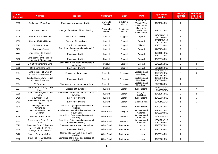| <b>Site</b><br><b>Reference</b> | <b>Address</b>                                      | <b>Proposal</b>                                               | <b>Settlement</b>    | <b>Parish</b>        | <b>Ward</b>                              | <b>Application</b><br><b>Number</b>          | <b>Dwellings</b><br><b>Permitted</b><br>(Gross) | <b>Dwellings</b><br><b>Left To Be</b><br><b>Built (Net)</b> |
|---------------------------------|-----------------------------------------------------|---------------------------------------------------------------|----------------------|----------------------|------------------------------------------|----------------------------------------------|-------------------------------------------------|-------------------------------------------------------------|
| 3305                            | Bethmond, Wigan Road                                | Erection of replacement dwelling                              | Clayton-le-<br>Woods | Clayton-le-<br>Woods | Clayton-le-<br>Woods West<br>and Cuerden | 16/01180/FUL                                 | $\overline{1}$                                  | $\mathbf{1}$                                                |
| 3416                            | 152 Mendip Road                                     | Change of use from office to dwelling                         | Clayton-le-<br>Woods | Clayton-le-<br>Woods | Clayton-le-<br>Woods West<br>and Cuerden | 18/00637/FUL                                 | $\mathbf{1}$                                    | $\mathbf{1}$                                                |
| 815                             | Rear of 66-74 Mill Lane                             | Erection of 2 dwellings                                       | Coppull              | Coppull              | Coppull                                  | 91/00222/OUT<br>93/00750/FUL                 | 2                                               | $\mathbf{1}$                                                |
| 1682                            | Rear of 42-44 Mill Lane                             | Erection of 2 dwellings                                       | Coppull              | Coppull              | Coppull                                  | 00/00190/OUT<br>00/00701/FUL                 | $\overline{2}$                                  | $\mathbf{1}$                                                |
| 2625                            | 151 Preston Road                                    | Erection of bungalow                                          | Coppull              | Coppull              | Chisnall                                 | 10/00529/FUL                                 | $\mathbf{1}$                                    | $\mathbf{1}$                                                |
| 3102                            | 1 Darlington Street                                 | Demolition of garage and erection of 2<br>flats               | Coppull              | Coppull              | Coppull                                  | 12/00270/FUL                                 | $\overline{2}$                                  | $\overline{2}$                                              |
| 3359                            | Land rear of 60 Clancutt<br>Lane                    | Erection of dwelling                                          | Coppull              | Coppull              | Coppull                                  | 17/01091/FUL<br>18/00731/FUL                 | $\mathbf{1}$                                    | $\mathbf{1}$                                                |
| 3412                            | Land between Wheatsheaf<br>Hotel and 2 Chapel Lane  | Erection of dwelling                                          | Coppull              | Coppull              | Coppull                                  | 18/00118/FUL                                 | $\mathbf{1}$                                    | $\mathbf{1}$                                                |
| 3551                            | 246-250 Spendmore Lane                              | Conversion of first floor apartment to 3<br>apartments        | Coppull              | Coppull              | Coppull                                  | 20/00981/FUL                                 | 3                                               | $\mathbf{2}$                                                |
| 3568                            | 108 Spendmore Lane                                  | Erection of dwelling                                          | Coppull              | Coppull              | Coppull                                  | 20/01365/FUL                                 | $\mathbf{1}$                                    | $\mathbf{1}$                                                |
| 3024                            | Land to the south west of<br>Ricmarlo, Preston Nook | Erection of 3 dwellings                                       | Eccleston            | Eccleston            | Eccleston and<br>Mawdesley               | 14/00550/OUT<br>15/00719/FUL<br>16/00667/FUL | 3                                               | 3                                                           |
| 3064                            | Land adjacent Lower House<br>Cottage, Towngate      | Erection of dwelling                                          | Eccleston            | Eccleston            | Eccleston and<br>Mawdesley               | 13/00675/FUL<br>15/00080/FUL                 | $\mathbf{1}$                                    | $\mathbf{1}$                                                |
| 3554                            | 17 Parr Lane                                        | Change of use of garage to dwelling                           | Eccleston            | Eccleston            | Eccleston and<br>Mawdesley               | 20/00628/FUL                                 | $\mathbf{1}$                                    | $\mathbf{1}$                                                |
| 3227                            | Land North of Railway Public<br>House               | Erection of 9 dwellings                                       | Euxton               | Euxton               | <b>Euxton North</b>                      | 15/01092/OUT<br>19/00906/REM                 | 9                                               | 9                                                           |
| 3315                            | Pear Tree Farm, Pear Tree<br>Lane                   | Demolition of farmhouse and erection of 3<br>dwellings        | Euxton               | Euxton               | Astley and<br><b>Buckshaw</b>            | 16/01184/FUL                                 | 3                                               | $\mathbf{2}$                                                |
| 3465                            | 121 Wigan Road                                      | Erection of dwelling                                          | Euxton               | Euxton               | <b>Euxton North</b>                      | 19/00336/FUL                                 | $\mathbf{1}$                                    | $\mathbf{1}$                                                |
| 3482                            | Euxton Mills Hotel, Wigan<br>Road                   | Erection of dwelling                                          | Euxton               | Euxton               | Euxton South                             | 19/00141/OUT                                 | $\mathbf{1}$                                    | $\mathbf{1}$                                                |
| 3500                            | Land adjacent to 15<br>Greenside                    | Demolition of garage and erection of<br>dwelling              | Euxton               | Euxton               | <b>Euxton North</b>                      | 19/00964/FUL                                 | $\mathbf{1}$                                    | $\mathbf{1}$                                                |
| 3112                            | Hudora Kennels, The<br>Common                       | Demolition of cattery building and erection<br>of bungalow    | <b>Other Rural</b>   | Adlington            | Adlington and<br>Anderton                | 14/01051/FUL<br>18/00920/FUL                 | $\mathbf{1}$                                    | $\mathbf{1}$                                                |
| 3436                            | Garwood, Bolton Road                                | Demolition of stables and erection of<br>dwelling             | <b>Other Rural</b>   | Anderton             | Adlington and<br>Anderton                | 18/00860/OUT                                 | $\mathbf{1}$                                    | $\mathbf{1}$                                                |
| 3445                            | Throstle Nest Farm, Bolton<br>Road                  | Demolition of stables and garages and<br>erection of dwelling | <b>Other Rural</b>   | Anderton             | Adlington and<br>Anderton                | 18/01221/OUT<br>20/00169/FUL                 | $\mathbf{1}$                                    | $\mathbf{1}$                                                |
| 3329                            | Boundary Farm, Doles Lane                           | Change of use of stables to dwelling                          | <b>Other Rural</b>   | <b>Bretherton</b>    | Lostock                                  | 17/00707/FUL                                 | $\mathbf{1}$                                    | $\mathbf{1}$                                                |
| 3418                            | Land 15m North of 1 Elm<br>Cottage, Pompian Brow    | Erection of dwelling                                          | <b>Other Rural</b>   | <b>Bretherton</b>    | Lostock                                  | 18/00165/FUL                                 | $\mathbf{1}$                                    | $\mathbf{1}$                                                |
| 3472                            | Norris's Farm, North Road                           | Change of use of stable building to<br>dwelling               | <b>Other Rural</b>   | <b>Bretherton</b>    | Lostock                                  | 18/00914/FUL                                 | $\mathbf{1}$                                    | $\mathbf{1}$                                                |
| 3502                            | Stoat Hall Fisheries, Back<br>Lane                  | Demolition of buildings and erection of<br>dwelling           | <b>Other Rural</b>   | <b>Bretherton</b>    | Lostock                                  | 19/00969/FUL                                 | $\mathbf{1}$                                    | $\mathbf{1}$                                                |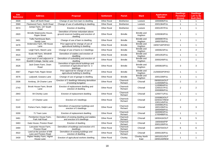| <b>Site</b><br><b>Reference</b> | <b>Address</b>                                              | <b>Proposal</b>                                                                               | <b>Settlement</b>  | <b>Parish</b>       | <b>Ward</b>                   | <b>Application</b><br><b>Number</b>          | <b>Dwellings</b><br><b>Permitted</b><br>(Gross) | <b>Dwellings</b><br><b>Left To Be</b><br><b>Built (Net)</b> |
|---------------------------------|-------------------------------------------------------------|-----------------------------------------------------------------------------------------------|--------------------|---------------------|-------------------------------|----------------------------------------------|-------------------------------------------------|-------------------------------------------------------------|
| 3509                            | Barn off North Road                                         | Change of use from barn to dwelling                                                           | <b>Other Rural</b> | <b>Bretherton</b>   | Lostock                       | 19/00696/FUL                                 | $\overline{1}$                                  | $\mathbf{1}$                                                |
| 3569                            | Fleetwood Farm. North Road                                  | Change of use of outbuilding to dwelling                                                      | <b>Other Rural</b> | <b>Bretherton</b>   | Lostock                       | 20/01364/FUL                                 | $\overline{1}$                                  | $\mathbf{1}$                                                |
| 3574                            | Jumps Farm, 147 South<br>Road                               | Erection of dwelling                                                                          | <b>Other Rural</b> | <b>Bretherton</b>   | Lostock                       | 20/01297/FUL                                 | $\overline{1}$                                  | $\mathbf{1}$                                                |
| 2820                            | Brindle Waterworks House.<br><b>Pippin Street</b>           | Demolition of former redundant above<br>ground reservoir building and erection of<br>dwelling | <b>Other Rural</b> | <b>Brindle</b>      | <b>Brindle and</b><br>Hoghton | 12/00363/FUL                                 | $\overline{1}$                                  | $\mathbf{1}$                                                |
| 3401                            | Tullis Farmhouse Barn,<br>Sandy Lane                        | Change of use of barn to dwelling                                                             | <b>Other Rural</b> | <b>Brindle</b>      | <b>Brindle and</b><br>Hoghton | 18/00097/FUL<br>19/00705/FUL                 | $\overline{1}$                                  | $\mathbf{1}$                                                |
| 3476                            | Anderview Farm, Hill House<br>Lane                          | Prior approval for change of use of<br>agricultural building to dwelling                      | <b>Other Rural</b> | <b>Brindle</b>      | <b>Brindle and</b><br>Hoghton | 19/00718/P3PAO                               | $\overline{1}$                                  | $\mathbf{1}$                                                |
| 3492                            | Leigh Farm, Marsh Lane                                      | Change of use of barns to 4 dwellings                                                         | <b>Other Rural</b> | <b>Brindle</b>      | <b>Brindle and</b><br>Hoghton | 19/00623/FUL                                 | 4                                               | 4                                                           |
| 3515                            | Scale Hill Farm. Windmill<br>Lane                           | Demolition of stables and erection of<br>dwellling                                            | <b>Other Rural</b> | <b>Brindle</b>      | <b>Brindle and</b><br>Hoghton | 19/01053/FUL                                 | $\overline{1}$                                  | 1                                                           |
| 3520                            | Land west of and adjacent to<br>Bowfell Cottage, Sandy Lane | Demolition of ourbuilding and erection of<br>dwelling                                         | <b>Other Rural</b> | <b>Brindle</b>      | <b>Brindle and</b><br>Hoghton | 20/00249/FUL                                 | $\overline{1}$                                  | $\mathbf{1}$                                                |
| 3526                            | Jack Green Farm, Oram<br>Road                               | Demolition of agricultural buildings and<br>conversion of agricultural barn to 3<br>dwellings | <b>Other Rural</b> | <b>Brindle</b>      | <b>Brindle and</b><br>Hoghton | 19/00819/FUL                                 | 3                                               | 3                                                           |
| 3567                            | Pippin Fold, Pippin Street                                  | Prior approval for change of use of<br>agricultural building to dwelling                      | <b>Other Rural</b> | <b>Brindle</b>      | Brindle and<br>Hoghton        | 21/00003/P3PAO                               | $\overline{1}$                                  | $\mathbf{1}$                                                |
| 3576                            | Ladywell, Gowans Lane                                       | Change of use of garage to dwelling                                                           | Other Rural        | <b>Brindle</b>      | <b>Brindle and</b><br>Hoghton | 20/01339/FUL                                 | $\overline{1}$                                  | $\mathbf{1}$                                                |
| 2506                            | Annbray, 29 Charter Lane                                    | Erection of 2 dwellings following demolition<br>of existing bungalow                          | Other Rural        | Charnock<br>Richard | Chisnall                      | 09/00016/OUT<br>11/00599/FUL                 | $\overline{2}$                                  | $\overline{2}$                                              |
| 2743                            | Brook House Farm, Brook<br>Lane                             | Erection of replacement dwelling and<br>erection of dwelling                                  | <b>Other Rural</b> | Charnock<br>Richard | Chisnall                      | 11/00804/FUL<br>12/00157/FUL<br>20/00806/FUL | $\overline{2}$                                  | 2                                                           |
| 2843                            | 94 Chorley Lane                                             | Erection of replacement dwelling                                                              | <b>Other Rural</b> | Charnock<br>Richard | Chisnall                      | 12/00771/FUL                                 | $\overline{1}$                                  | $\mathbf{1}$                                                |
| 3117                            | 27 Charter Lane                                             | Erection of 2 dwellings                                                                       | <b>Other Rural</b> | Charnock<br>Richard | Chisnall                      | 15/00863/OUT<br>16/00327/REM<br>13/01145/FUL | 2                                               | $\overline{2}$                                              |
| 3140                            | Fishers Farm, Delph Lane                                    | Demolition of equestrian buildings and<br>erection of 3 dwellings                             | <b>Other Rural</b> | Charnock<br>Richard | Chisnall                      | 15/00991/FUL<br>18/01206/FUL<br>18/00458/FUL | 3                                               | 3                                                           |
| 3200                            | 71 Town Lane                                                | Erection of replacement dwelling                                                              | <b>Other Rural</b> | Charnock<br>Richard | Chisnall                      | 16/00903/FUL<br>17/00488/FUL                 | $\overline{1}$                                  | $\mathbf{1}$                                                |
| 3461                            | Pemberton House Farm,<br>Park Hall Road                     | Demolition of existing dwelling and stables<br>and erection of 6 dwellings                    | Other Rural        | Charnock<br>Richard | Chisnall                      | 18/00416/OUT                                 | 6                                               | 5                                                           |
| 3463                            | Gate House, Preston Road                                    | Erection of dwelling                                                                          | <b>Other Rural</b> | Charnock<br>Richard | Chisnall                      | 19/00484/PIP<br>20/01100/FUL                 | $\overline{1}$                                  | $\mathbf{1}$                                                |
| 3494                            | Lancaster House Farm,<br>Preston Road                       | Demolition of buildings and erection of 6<br>dwellings                                        | <b>Other Rural</b> | Charnock<br>Richard | Chisnall                      | 18/00704/OUT                                 | 6                                               | 6                                                           |
| 3522                            | Land at the junction of Mill<br>Lane and Preston Road       | Demolition of existing buildings and<br>erection of dwelling                                  | Other Rural        | Charnock<br>Richard | Chisnall                      | 20/00130/FUL                                 | $\overline{1}$                                  | $\mathbf{1}$                                                |
| 3430                            | Higher Healey Farm, Higher<br>House Lane                    | Erection of agricultural workers dwelling                                                     | <b>Other Rural</b> | Chorley             | <b>Chorley North</b><br>East  | 16/01021/OUT<br>19/00140/REM                 | $\overline{1}$                                  | $\mathbf{1}$                                                |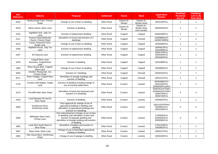| <b>Site</b><br><b>Reference</b> | <b>Address</b>                                        | <b>Proposal</b>                                                                                                                                                                           | <b>Settlement</b>  | <b>Parish</b>        | <b>Ward</b>                              | <b>Application</b><br><b>Number</b>                                | <b>Dwellings</b><br><b>Permitted</b><br>(Gross) | <b>Dwellings</b><br><b>Left To Be</b><br><b>Built (Net)</b> |
|---------------------------------|-------------------------------------------------------|-------------------------------------------------------------------------------------------------------------------------------------------------------------------------------------------|--------------------|----------------------|------------------------------------------|--------------------------------------------------------------------|-------------------------------------------------|-------------------------------------------------------------|
| 3316                            | Hawksclough Farm, Preston<br>Road                     | Change of use of barn to dwelling                                                                                                                                                         | <b>Other Rural</b> | Clavton-le-<br>Woods | Clayton-le-<br>Woods North               | 16/01195/FUL                                                       | $\mathbf{1}$                                    | $\mathbf{1}$                                                |
| 3418                            | West Levens, Moss Lane                                | Erection of dwelling                                                                                                                                                                      | <b>Other Rural</b> | Clayton-le-<br>Woods | Clayton-le-<br>Woods West<br>and Cuerden | 18/00530/OUT                                                       | $\mathbf{1}$                                    | $\mathbf{1}$                                                |
| 2105                            | Highfield Farm, Jolly Tar<br>Lane                     | Erection of replacement dwelling                                                                                                                                                          | <b>Other Rural</b> | Coppull              | Coppull                                  | 05/00188/FUL                                                       | $\mathbf{1}$                                    | $\mathbf{1}$                                                |
| 3111                            | <b>Preston Road Methodist</b><br>Church, Preston Road | Demolition of church and erection of 2<br>dwellings                                                                                                                                       | <b>Other Rural</b> | Coppull              | Chisnall                                 | 14/00969/OUT<br>18/00579/REM                                       | 2                                               | $\mathbf{2}$                                                |
| 3115                            | Lowes Tenement Farm,<br>Burgh Lane                    | Change of use of barn to dwelling                                                                                                                                                         | <b>Other Rural</b> | Coppull              | Coppull                                  | 15/00488/FUL                                                       | $\mathbf{1}$                                    | $\mathbf{1}$                                                |
| 3180                            | Highfield House, Jolly Tar<br>Lane                    | Erection of replacement dwelling                                                                                                                                                          | <b>Other Rural</b> | Coppull              | Coppull                                  | 16/00622/FUL<br>19/01098/FUL                                       | $\mathbf{1}$                                    | $\mathbf{1}$                                                |
| 3187                            | 84 Clancutt Lane                                      | Erection of replacement dwelling                                                                                                                                                          | <b>Other Rural</b> | Coppull              | Coppull                                  | 16/00743/FUL<br>19/00405/FUL<br>20/00482/FUL                       | $\mathbf{1}$                                    | 1                                                           |
| 3228                            | Coppull Moor Lane<br>Nurseries, Coppull Moor<br>Lane  | Erection of dwelling                                                                                                                                                                      | Other Rural        | Coppull              | Coppull                                  | 15/01098/FUL                                                       | $\mathbf{1}$                                    | $\mathbf{1}$                                                |
| 3490                            | Moss House Barn, Coppull<br>Moor Lane                 | Change of use of barn to dwelling                                                                                                                                                         | <b>Other Rural</b> | Coppull              | Coppull                                  | 19/00855/FUL                                                       | $\mathbf{1}$                                    | $\mathbf{1}$                                                |
| 3546                            | Amelie's Restaurant, 311<br>Preston Road              | Erection of 7 dwellings                                                                                                                                                                   | <b>Other Rural</b> | Coppull              | Chisnall                                 | 20/00516/FUL                                                       | $\overline{7}$                                  | $\overline{7}$                                              |
| 3571                            | Rose Cottage, Coppull Moor<br>Lane                    | Demolition of storage buildings and<br>erection of dwelling                                                                                                                               | <b>Other Rural</b> | Coppull              | Chisnall                                 | 20/01312/FUL                                                       | $\mathbf{1}$                                    | $\mathbf{1}$                                                |
| 1716                            | Croston Hall Stables, Grape<br>Lane                   | Erection of dwelling including change of<br>use of existing stable block                                                                                                                  | Other Rural        | Croston              | Lostock                                  | 00/00488/COU<br>04/01443/FUL<br>15/00540/FULMAJ                    | $\mathbf{1}$                                    | $\mathbf{1}$                                                |
| 3124                            | The Mill Hotel, Moor Road                             | Demolition of hotel and restaurant and<br>erection of 4 dwellings                                                                                                                         | <b>Other Rural</b> | Croston              | Lostock                                  | 14/00761/OUTMAJ<br>16/00452/OUTMAJ<br>19/00733/FUL<br>19/00735/FUL | 4                                               | 4                                                           |
| 3193                            | Land between 55 and 61<br>Moor Road                   | Erection of dwelling                                                                                                                                                                      | <b>Other Rural</b> | Croston              | Lostock                                  | 16/00824/FUL                                                       | $\overline{1}$                                  | $\overline{1}$                                              |
| 3206                            | Drinkhouse Farm,<br>Drinkhouse Road                   | Prior approval for change of use of<br>agricultural building to dwelling and<br>demolition of agricultural buildings and<br>erection of 4 dwellings                                       | <b>Other Rural</b> | Croston              | Lostock                                  | 16/01102/P3PAO<br>16/00601/FUL<br>18/01040/FUL                     | 5                                               |                                                             |
| 3336                            | Withington Barn Farm,<br><b>Finney Lane</b>           | Part redevelopment / change of use of barn<br>to dwelling, part demolition of barn and<br>erection of separate dwelling and<br>demolition of storage building and erection<br>of dwelling | <b>Other Rural</b> | Croston              | Lostock                                  | 17/00592/FUL<br>20/00092/FUL<br>20/00506/FUL                       | 3                                               | $\overline{2}$                                              |
| 3400                            | Land 35m South West of<br>Moor Road                   | Demolition of stables and erection of<br>dwelling                                                                                                                                         | <b>Other Rural</b> | Croston              | Lostock                                  | 17/01219/FUL<br>19/00842/FUL                                       | $\mathbf{1}$                                    | $\mathbf{1}$                                                |
| 3467                            | Moss Farm, Moss Lane                                  | Change of use of redundant agricultural<br>building to dwelling                                                                                                                           | <b>Other Rural</b> | Croston              | Lostock                                  | 19/00157/FUL                                                       | $\mathbf{1}$                                    | $\mathbf{1}$                                                |
| 3493                            | Hey House Barn, Drinkhouse<br>Road                    | Change of use of garage to dwelling                                                                                                                                                       | <b>Other Rural</b> | Croston              | Lostock                                  | 19/00426/FUL                                                       | $\mathbf{1}$                                    | $\mathbf{1}$                                                |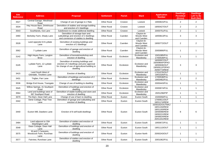| <b>Site</b><br><b>Reference</b> | <b>Address</b>                                      | <b>Proposal</b>                                                                                                                                 | <b>Settlement</b>  | <b>Parish</b> | <b>Ward</b>                              | <b>Application</b><br><b>Number</b>                                                                             | <b>Dwellings</b><br><b>Permitted</b><br>(Gross) | <b>Dwellings</b><br><b>Left To Be</b><br><b>Built (Net)</b> |
|---------------------------------|-----------------------------------------------------|-------------------------------------------------------------------------------------------------------------------------------------------------|--------------------|---------------|------------------------------------------|-----------------------------------------------------------------------------------------------------------------|-------------------------------------------------|-------------------------------------------------------------|
| 3527                            | Central Garage, Westhead<br>Road                    | Change of use of garage to 2 flats                                                                                                              | <b>Other Rural</b> | Croston       | Lostock                                  | 19/00815/FUL                                                                                                    | $\overline{2}$                                  | $\overline{c}$                                              |
| 3534                            | Hey House Barn, Drinkhouse<br>Road                  | Demolition of stables and storage building<br>and erection of 2 dwellings                                                                       | <b>Other Rural</b> | Croston       | Lostock                                  | 19/00427/OUT                                                                                                    | $\overline{2}$                                  | $\overline{2}$                                              |
| 3543                            | Southlands, Out Lane                                | Subdivision to create additonal dwelling                                                                                                        | <b>Other Rural</b> | Croston       | Lostock                                  | 20/00751/FUL                                                                                                    | $\overline{2}$                                  | $\mathbf{1}$                                                |
| 3460                            | Berkeley Farm, Shady Lane                           | Demolition of storage barn and<br>outbuildings and erection of 2 dwellings<br>and conversion of stables to dwelling                             | <b>Other Rural</b> | Cuerden       | Clayton-le-<br>Woods West<br>and Cuerden | 18/00813/FUL                                                                                                    | 3                                               | 3                                                           |
| 3528                            | Land opposite 6-8 Lydiate<br>Lane                   | Demolition of existing buildings and<br>erection of 2 dwellings                                                                                 | <b>Other Rural</b> | Cuerden       | Clayton-le-<br>Woods West<br>and Cuerden | 19/00772/OUT                                                                                                    | $\overline{2}$                                  | 2                                                           |
| 3562                            | 7 Lydiate Lane                                      | Demolition of garage and erection of<br>dwelling                                                                                                | <b>Other Rural</b> | Cuerden       | Clayton-le-<br>Woods West<br>and Cuerden | 20/00890/FUL                                                                                                    | $\mathbf{1}$                                    | $\mathbf{1}$                                                |
| 3142                            | High Heyes Farm, Langton<br><b>Brow</b>             | Demolition of kennels/workshop and<br>erection of dwelling                                                                                      | <b>Other Rural</b> | Eccleston     | Eccleston and<br>Mawdesley               | 15/01085/FUL<br>17/00539/FUL                                                                                    | $\mathbf{1}$                                    | $\mathbf{1}$                                                |
| 3145                            | Lydiate Farm, 12 Lydiate<br>Lane                    | Demolition of existing buildings and<br>erection of 2 dwellings and prior approval<br>for change of use of agricultural building to<br>dwelling | <b>Other Rural</b> | Eccleston     | Eccleston and<br>Mawdesley               | 16/00007/OUT<br>16/00964/P3PAO<br>18/00636/OUT<br>19/00911/P3PAO<br>20/00773/REM                                | 3                                               | 3                                                           |
| 3415                            | Land South West of<br>Glendale, Tincklers Lane      | Erection of dwelling                                                                                                                            | <b>Other Rural</b> | Eccleston     | Eccleston and<br>Mawdesley               | 17/01076/OUT<br>19/01026/FUL                                                                                    | $\mathbf{1}$                                    | $\mathbf{1}$                                                |
| 3431                            | Trigfan, Parr Lane                                  | Demolition of buildings and erection of 2<br>dwellings                                                                                          | <b>Other Rural</b> | Eccleston     | Eccleston and<br>Mawdesley               | 17/00538/FUL<br>19/00462/FUL                                                                                    | 2                                               | $\sqrt{2}$                                                  |
| 3536                            | Bridge End House, Towngate                          | Change of use of building to dwelling                                                                                                           | <b>Other Rural</b> | Eccleston     | Eccleston and<br>Mawdesley               | 20/00443/FUL                                                                                                    | $\mathbf{1}$                                    | $\mathbf{1}$                                                |
| 3545                            | Willow Springs, 41 Southport<br>Road                | Demolition of buildings and erection of<br>dwelling                                                                                             | <b>Other Rural</b> | Eccleston     | Eccleston and<br>Mawdesley               | 20/00674/FUL                                                                                                    | $\mathbf{1}$                                    | $\mathbf{1}$                                                |
| 3564                            | Land and buildings west of<br>367 Southport Road    | Demolition of stable building and store and<br>erection of dwelling                                                                             | <b>Other Rural</b> | Eccleston     | Eccleston and<br>Mawdesley               | 20/01296/PIP                                                                                                    | $\mathbf{1}$                                    | $\mathbf{1}$                                                |
| 3079                            | The Barn, Dean Hall Lane                            | Change of use of barn to dwelling                                                                                                               | <b>Other Rural</b> | Euxton        | Euxton South                             | 15/00058/FUL                                                                                                    | $\mathbf{1}$                                    | $\mathbf{1}$                                                |
| 3342                            | Dene Cottage, Pear Tree<br>Lane                     | Demolition of garage and outbuilding and<br>erection of dwelling                                                                                | <b>Other Rural</b> | Euxton        | Euxton South                             | 17/00911/OUT<br>18/01174/REM                                                                                    | $\mathbf{1}$                                    | $\mathbf{1}$                                                |
| 3440                            | Euxton Mill, Dawbers Lane                           | Erection of 8 self build dwellings                                                                                                              | <b>Other Rural</b> | Euxton        | <b>Euxton South</b>                      | 15/00162/OUTMAJ<br>18/01150/REM<br>18/01193/REM<br>19/00096/REM<br>19/00221/REM<br>19/00624/REM<br>20/01341/REM | 8                                               | 6                                                           |
| 3484                            | Land adjacent to 33A<br>Washington Lane             | Demolition of stables and erection of<br>dwelling                                                                                               | <b>Other Rural</b> | Euxton        | Euxton South                             | 19/00672/FUL                                                                                                    | $\mathbf{1}$                                    | $\mathbf{1}$                                                |
| 3548                            | Dean Cottage, Dean Hall<br>Lane                     | Demolition of buildings and erection of<br>dwelling                                                                                             | <b>Other Rural</b> | Euxton        | Euxton South                             | 19/01110/OUT                                                                                                    | $\mathbf{1}$                                    | $\mathbf{1}$                                                |
| 3575                            | M and C Caravans,<br>Woodcock Farm, Runshaw<br>Lane | Demolition of buildings and erection of<br>dwelling                                                                                             | <b>Other Rural</b> | Euxton        | Euxton North                             | 20/00243/OUT                                                                                                    | $\mathbf{1}$                                    | $\mathbf{1}$                                                |
| 3577                            | Fairview, Runshaw Lane                              | Demolition of stables and erection of<br>dwelling                                                                                               | <b>Other Rural</b> | Euxton        | Euxton South                             | 20/01062/FUL                                                                                                    | $\mathbf{1}$                                    | $\mathbf{1}$                                                |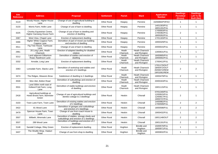| <b>Site</b><br><b>Reference</b> | <b>Address</b>                                                   | <b>Proposal</b>                                                                      | <b>Settlement</b>  | <b>Parish</b>     | <b>Ward</b>                            | <b>Application</b><br><b>Number</b>                          | <b>Dwellings</b><br><b>Permitted</b><br>(Gross) | <b>Dwellings</b><br><b>Left To Be</b><br><b>Built (Net)</b> |
|---------------------------------|------------------------------------------------------------------|--------------------------------------------------------------------------------------|--------------------|-------------------|----------------------------------------|--------------------------------------------------------------|-------------------------------------------------|-------------------------------------------------------------|
| 3119                            | Moody House, Higher House<br>Lane                                | Change of use of agricultural building to<br>dwelling                                | <b>Other Rural</b> | Heapey            | Pennine                                | 15/00894/P3PAO                                               | $\mathbf{1}$                                    | $\mathbf{1}$                                                |
| 3133                            | Morris Farm. Hollin Lane                                         | Change of use of barn to dwelling                                                    | <b>Other Rural</b> | Heapey            | Pennine                                | 14/01303/FUL<br>18/01191/FUL                                 | $\mathbf{1}$                                    | $\mathbf{1}$                                                |
| 3225                            | Chorley Equestrian Centre,<br>Higher Garstang House Farm         | Change of use of barn to dwelling and<br>erection of dwelling                        | <b>Other Rural</b> | Heapey            | Pennine                                | 17/00003/FUL<br>17/00382/FUL<br>18/00262/FUL                 | 2                                               | $\mathbf{1}$                                                |
| 3367                            | West View, Chapel Lane                                           | Erection of replacement dwelling                                                     | <b>Other Rural</b> | Heapey            | Pennine                                | 17/01183/FUL                                                 | $\mathbf{1}$                                    | $\mathbf{1}$                                                |
| 3466                            | Higher White Coppice Farm,<br>Coppice Lane                       | Demolition of part of mixed use building<br>and erection of dwelling                 | <b>Other Rural</b> | Heapey            | Pennine                                | 19/00329/FUL                                                 | $\mathbf{1}$                                    | $\mathbf{1}$                                                |
| 3511                            | Fig Tree House, Tanhouse<br>Lane                                 | Change of use of barn to dwelling                                                    | <b>Other Rural</b> | Heapey            | Pennine                                | 20/00015/FUL                                                 | $\mathbf{1}$                                    | $\mathbf{1}$                                                |
| 2961                            | 26 Long Lane, Heath<br>Charnock                                  | Erection of adapted dwelling for disabled<br>relative                                | <b>Other Rural</b> | Heath<br>Charnock | <b>Heath Charnock</b><br>and Rivington | 13/00631/FUL                                                 | $\mathbf{1}$                                    | $\mathbf{1}$                                                |
| 3212                            | Land adjacent Gilbertson<br>Road, Rawlinson Lane                 | Demolition of stables and erection of<br>dwelling                                    | <b>Other Rural</b> | Heath<br>Charnock | <b>Heath Charnock</b><br>and Rivington | 16/00905/FUL<br>19/00002/FUL                                 | $\mathbf{1}$                                    | $\mathbf{1}$                                                |
| 3332                            | Arnside, Long Lane                                               | Erection of replacement dwelling                                                     | <b>Other Rural</b> | Heath<br>Charnock | <b>Heath Charnock</b><br>and Rivington | 17/00412/FUL                                                 | $\mathbf{1}$                                    | $\mathbf{1}$                                                |
| 3363                            | Lonsdale Farm. Slacks Lane                                       | Demolition of workshop and stables and<br>erection of 2 dwellings                    | Other Rural        | Heath<br>Charnock | <b>Heath Charnock</b><br>and Rivington | 17/01170/OUT<br>18/00472/OUT<br>20/00072/REM<br>19/01081/REM | 2                                               | $\overline{2}$                                              |
| 3474                            | The Ridges, Weavers Brow                                         | Subdiviison of dwelling to 2 dwellings                                               | <b>Other Rural</b> | Heath<br>Charnock | <b>Heath Charnock</b><br>and Rivington | 19/00479/FUL                                                 | $\overline{2}$                                  | $\mathbf{1}$                                                |
| 3530                            | Mon Abri, Bolton Road                                            | Demolition of outbuildings and erection of<br>dwelling                               | <b>Other Rural</b> | Heath<br>Charnock | <b>Heath Charnock</b><br>and Rivington | 20/00163/FUL                                                 | $\mathbf{1}$                                    | $\mathbf{1}$                                                |
| 3531                            | Land 300m north east of<br>Holland Fold Farm, Long<br>Lane       | Demolition of stable buildings and erection<br>of dwelling                           | <b>Other Rural</b> | Heath<br>Charnock | <b>Heath Charnock</b><br>and Rivington | 19/01115/FUL                                                 | $\mathbf{1}$                                    | $\overline{1}$                                              |
| 2418                            | Agricultural buildings at<br>Howe Brook Farm, Bannister<br>Green | Change of use of agricultural buildings and<br>derelict cottage to 2 dwellings       | <b>Other Rural</b> | Heskin            | Chisnall                               | 07/01340/FUL<br>12/00915/FUL<br>12/00917/FUL<br>19/00737/FUL | 2                                               | 1                                                           |
| 3103                            | Town Lane Farm, Town Lane                                        | Demolition of existing stables and erection<br>of 2 dwellings                        | <b>Other Rural</b> | Heskin            | Chisnall                               | 14/00982/FUL<br>17/00599/FUL                                 | $\overline{2}$                                  | $\mathbf{2}$                                                |
| 3422                            | 81 Wood Lane                                                     | Demolition of garages and outbuildings<br>and erection of 2 dwellings                | <b>Other Rural</b> | Heskin            | Chisnall                               | 18/00598/FUL                                                 | $\overline{2}$                                  | $\mathbf{2}$                                                |
| 3479                            | Spencer House Farm, Town<br>Lane                                 | Change of use from coach house to<br>dwelling                                        | <b>Other Rural</b> | Heskin            | Chisnall                               | 19/00432/FUL                                                 | $\mathbf{1}$                                    | $\mathbf{1}$                                                |
| 3507                            | Wilbeth, Wrennals Lane                                           | Demolition of stables, storage sheds and<br>outbuildings and erection of 2 dwellings | <b>Other Rural</b> | Heskin            | Chisnall                               | 19/01148/OUT                                                 | $\overline{2}$                                  | $\mathbf{2}$                                                |
| 3537                            | 289 Wood Lane                                                    | Demolition of buildings and erection of 2<br>dwellings                               | Other Rural        | Heskin            | Chisnall                               | 19/01191/FUL                                                 | 2                                               | $\mathbf{2}$                                                |
| 3148                            | Sandall Cottage, Riley Green                                     | Erection of replacement dwelling                                                     | <b>Other Rural</b> | Hoghton           | <b>Brindle and</b><br>Hoghton          | 15/00570/FUL<br>18/00971/FUL                                 | $\mathbf{1}$                                    | $\mathbf{1}$                                                |
| 3437                            | The Shuttle Shop, Viaduct<br>Road                                | Change of use from shop to dwelling                                                  | <b>Other Rural</b> | Hoghton           | <b>Brindle and</b><br>Hoghton          | 18/00832/FUL                                                 | $\mathbf{1}$                                    | $\mathbf{1}$                                                |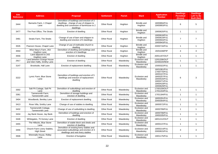| <b>Site</b><br><b>Reference</b> | <b>Address</b>                                           | <b>Proposal</b>                                                                                                                               | <b>Settlement</b>  | <b>Parish</b> | <b>Ward</b>                   | <b>Application</b><br><b>Number</b>                                                                                          | <b>Dwellings</b><br><b>Permitted</b><br>(Gross) | <b>Dwellings</b><br><b>Left To Be</b><br><b>Built (Net)</b> |
|---------------------------------|----------------------------------------------------------|-----------------------------------------------------------------------------------------------------------------------------------------------|--------------------|---------------|-------------------------------|------------------------------------------------------------------------------------------------------------------------------|-------------------------------------------------|-------------------------------------------------------------|
| 3444                            | Barracks Farm, 1 Chapel<br>Lane                          | Demolition of buildings and erection of 3<br>dwellings, change of use of shippon to<br>dwelling and conversion of farmhouse to 2<br>dwellings | <b>Other Rural</b> | Hoghton       | <b>Brindle and</b><br>Hoghton | 18/00894/FUL<br>19/00903/FUL                                                                                                 | 6                                               | 5                                                           |
| 3477                            | The Post Office, The Straits                             | Erection of dwelling                                                                                                                          | <b>Other Rural</b> | Hoghton       | <b>Brindle and</b><br>Hoghton | 19/00620/FUL                                                                                                                 | $\mathbf{1}$                                    | $\mathbf{1}$                                                |
| 3481                            | <b>Straits Farm, The Straits</b>                         | Change of use of barn and shippon to<br>dwelling and erection of 6 dwellings                                                                  | <b>Other Rural</b> | Hoghton       | <b>Brindle and</b><br>Hoghton | 19/00618/FUL<br>19/00619/FUL<br>19/00944/FUL<br>19/00943/FUL                                                                 | $\overline{7}$                                  | $\overline{7}$                                              |
| 3535                            | Pearson House, Chapel Lane                               | Change of use of methodist church to<br>dwelling                                                                                              | <b>Other Rural</b> | Hoghton       | <b>Brindle and</b><br>Hoghton | 20/00716/FUL                                                                                                                 | $\overline{1}$                                  | $\mathbf{1}$                                                |
| 3550                            | Wise Mary's Farm, 263<br>Hoghton Lane                    | Demolition of dwelling and buildings and<br>erection of 4 dwellings                                                                           | <b>Other Rural</b> | Hoghton       | <b>Brindle and</b><br>Hoghton | 20/01048/PIP                                                                                                                 | 4                                               | 3                                                           |
| 3556                            | Land adjacent to 243<br>Hoghton Lane                     | Erection of dwelling                                                                                                                          | <b>Other Rural</b> | Hoghton       | <b>Brindle and</b><br>Hoghton | 20/01197/OUT                                                                                                                 | $\mathbf{1}$                                    | $\mathbf{1}$                                                |
| 2917                            | Land between Grange House<br>and Glen Haffy, Smithy Lane | Erection of dwelling                                                                                                                          | <b>Other Rural</b> | Mawdesley     | Eccleston and<br>Mawdesley    | 12/01206/OUT<br>15/00025/REM                                                                                                 | $\mathbf{1}$                                    | $\mathbf{1}$                                                |
| 3147                            | Brookside, Hall Lane                                     | Erection of replacement dwelling                                                                                                              | <b>Other Rural</b> | Mawdesley     | Eccleston and<br>Mawdesley    | 15/00322/FUL                                                                                                                 | $\mathbf{1}$                                    | $\mathbf{1}$                                                |
| 3222                            | Lynric Farm, Blue Stone<br>Lane                          | Demolition of buildings and erection of 5<br>dwellings and erection of replacement<br>dwelling                                                | <b>Other Rural</b> | Mawdesley     | Eccleston and<br>Mawdesley    | 16/01061/FUL<br>17/00770/FUL<br>18/00107/FUL<br>18/00257/FUL<br>18/00534/FUL<br>19/00271/FUL<br>19/00419/FUL<br>19/00629/FUL | 6                                               | 3                                                           |
| 3302                            | Salt Pit Cottage, Salt Pit<br>Lane                       | Demolition of outbuildings and erection of<br>dwelling                                                                                        | <b>Other Rural</b> | Mawdesley     | Eccleston and<br>Mawdesley    | 17/00159/OUT<br>17/01154/FUL                                                                                                 | $\mathbf{1}$                                    | $\mathbf{1}$                                                |
| 3361                            | Tannersmith Farm,<br>Tannersmith Lane                    | Demolition of storage buildings and<br>erection of dwelling                                                                                   | <b>Other Rural</b> | Mawdesley     | Eccleston and<br>Mawdesley    | 17/01184/FUL                                                                                                                 | $\mathbf{1}$                                    | $\mathbf{1}$                                                |
| 3404                            | Woodlands, Bentley Lane                                  | Erection of replacement dwelling                                                                                                              | <b>Other Rural</b> | Mawdesley     | Eccleston and<br>Mawdesley    | 18/00291/FUL<br>20/00354/FUL                                                                                                 | $\mathbf{1}$                                    | $\mathbf{1}$                                                |
| 3413                            | Rose Villa, Smithy Lane                                  | Change of use of stables to dwelling                                                                                                          | <b>Other Rural</b> | Mawdesley     | Eccleston and<br>Mawdesley    | 18/00572/FUL                                                                                                                 | $\mathbf{1}$                                    | $\mathbf{1}$                                                |
| 3432                            | Tannersmith Cottage,<br>Tannersmith Lane                 | Change of use of outbuilding to dwelling                                                                                                      | <b>Other Rural</b> | Mawdesley     | Eccleston and<br>Mawdesley    | 18/00799/FUL                                                                                                                 | $\mathbf{1}$                                    | $\mathbf{1}$                                                |
| 3434                            | Jay Bank House, Jay Bank                                 | Demolition of buildings and erection of<br>dwelling                                                                                           | <b>Other Rural</b> | Mawdesley     | Eccleston and<br>Mawdesley    | 18/00708/FUL<br>19/00335/FUL                                                                                                 | $\mathbf{1}$                                    | $\mathbf{1}$                                                |
| 3446                            | Whitegates, 75 Gorsey Lane                               | Erection of dwelling                                                                                                                          | <b>Other Rural</b> | Mawdesley     | Eccleston and<br>Mawdesley    | 18/01212/OUT                                                                                                                 | $\mathbf{1}$                                    | $\mathbf{1}$                                                |
| 3455                            | The Hillocks, Blue Stone<br>Lane                         | Demolition of stable block and sheds and<br>erection of dwelling                                                                              | <b>Other Rural</b> | Mawdesley     | Eccleston and<br>Mawdesley    | 18/00137/FUL                                                                                                                 | $\overline{1}$                                  | $\mathbf{1}$                                                |
| 3456                            | Church Farm Livery Stables,<br><b>High Street</b>        | Demolition of existing livery stables and<br>associated outbuildings and erection of 3<br>dwellings and new livery stables                    | <b>Other Rural</b> | Mawdesley     | Eccleston and<br>Mawdesley    | 19/00214/FUL<br>20/00815/FUL                                                                                                 | 3                                               | 3                                                           |
| 3506                            | Wrennalls House, Ridley<br>Lane                          | Erection of bungalow                                                                                                                          | <b>Other Rural</b> | Mawdesley     | Eccleston and<br>Mawdesley    | 19/01175/FUL                                                                                                                 | $\mathbf{1}$                                    | $\mathbf{1}$                                                |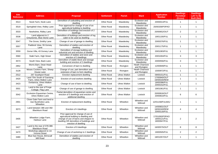| <b>Site</b><br><b>Reference</b> | <b>Address</b>                                                         | <b>Proposal</b>                                                                                                                                                                          | <b>Settlement</b>  | <b>Parish</b>       | <b>Ward</b>                            | <b>Application</b><br><b>Number</b>            | <b>Dwellings</b><br><b>Permitted</b><br>(Gross) | <b>Dwellings</b><br><b>Left To Be</b><br><b>Built (Net)</b> |
|---------------------------------|------------------------------------------------------------------------|------------------------------------------------------------------------------------------------------------------------------------------------------------------------------------------|--------------------|---------------------|----------------------------------------|------------------------------------------------|-------------------------------------------------|-------------------------------------------------------------|
| 3513                            | Nook Farm, Nook Lane                                                   | Demolition of outbuilding and erection of<br>dwelling                                                                                                                                    | <b>Other Rural</b> | Mawdesley           | Eccleston and<br>Mawdesley             | 20/00014/FUL                                   | $\overline{1}$                                  | $\mathbf{1}$                                                |
| 3519                            | Springfield View, Ridley Lane                                          | Prior approval for change of use of an<br>agricultural building to dwelling                                                                                                              | <b>Other Rural</b> | Mawdesley           | Eccleston and<br>Mawdesley             | 20/00339/P3PAO                                 | $\mathbf{1}$                                    | $\mathbf{1}$                                                |
| 3533                            | Newholme, Ridley Lane                                                  | Demolition of buildings and erection of 2<br>dwellings                                                                                                                                   | <b>Other Rural</b> | Mawdesley           | Eccleston and<br>Mawdesley             | 20/00652/OUT                                   | $\overline{2}$                                  | 2                                                           |
| 3538                            | Land adjacent to 2<br>Greystones, Blue Stone Lane                      | Demolition of buildings and erection of log<br>cabin to be used as dwelling                                                                                                              | <b>Other Rural</b> | Mawdesley           | Eccleston and<br>Mawdeslev             | 19/01100/FUL                                   | $\mathbf{1}$                                    | $\mathbf{1}$                                                |
| 3547                            | The Grove, Smithy Lane                                                 | Change of use of garage to dwelling                                                                                                                                                      | Other Rural        | Mawdesley           | Eccleston and<br>Mawdesley             | 20/00376/FUL                                   | $\mathbf{1}$                                    | $\mathbf{1}$                                                |
| 3557                            | Paddock View, 55 Gorsey<br>Lane                                        | Demolition of stables and erection of<br>dwelling                                                                                                                                        | <b>Other Rural</b> | Mawdesley           | Eccleston and<br>Mawdesley             | 20/01175/FUL                                   | $\mathbf{1}$                                    | $\mathbf{1}$                                                |
| 3559                            | Gorse Villa, 43 Gorsey Lane                                            | Demolition of storage building and<br>industrial unit and erection of dwelling                                                                                                           | <b>Other Rural</b> | Mawdesley           | Eccleston and<br>Mawdesley             | 20/01083/FUL                                   | $\mathbf{1}$                                    | $\mathbf{1}$                                                |
| 3560                            | Stalk Farm, High Street                                                | Demolition of stables and store and<br>erection of 3 dwellings                                                                                                                           | <b>Other Rural</b> | Mawdesley           | Eccleston and<br>Mawdesley             | 20/01004/FUL                                   | 3                                               | 3                                                           |
| 3573                            | South View, Back Lane                                                  | Demolition of stable block and storage<br>building and erection of 3 dwellings                                                                                                           | <b>Other Rural</b> | Mawdesley           | Eccleston and<br>Mawdesley             | 20/00556/FUL                                   | 3                                               | 3                                                           |
| 2852                            | Morris Barn, Dean Head<br>Lane                                         | Conversion of barn to dwelling                                                                                                                                                           | <b>Other Rural</b> | Rivington           | <b>Heath Charnock</b><br>and Rivington | 12/00949/FUL                                   | $\mathbf{1}$                                    | $\mathbf{1}$                                                |
| 3128                            | Moses Cockers Farm, Sheep<br>House Lane                                | Change of use, part demolition and<br>extension of barn to form dwelling                                                                                                                 | <b>Other Rural</b> | Rivington           | <b>Heath Charnock</b><br>and Rivington | 15/00972/FUL                                   | $\mathbf{1}$                                    | $\mathbf{1}$                                                |
| 2512                            | 267 Southport Road                                                     | Erection replacement dwelling                                                                                                                                                            | <b>Other Rural</b> | <b>Ulnes Walton</b> | Lostock                                | 09/00151/FUL                                   | $\overline{1}$                                  | $\overline{1}$                                              |
| 3420                            | Land 70m South of Garstang<br>Farm, Ulnes Walton Lane                  | Erection of rural workers dwelling                                                                                                                                                       | <b>Other Rural</b> | <b>Ulnes Walton</b> | Lostock                                | 17/00940/OUT<br>19/00535/REM                   | $\mathbf{1}$                                    | $\mathbf{1}$                                                |
| 3423                            | Dorbaricia. Ulnes Walton<br>Lane                                       | Change of use of barn to dwelling                                                                                                                                                        | <b>Other Rural</b> | <b>Ulnes Walton</b> | Lostock                                | 18/00396/FUL<br>20/00152/FUL                   | $\mathbf{1}$                                    | $\mathbf{1}$                                                |
| 3501                            | Land to the rear of Forge<br>Cottage, Flag Lane                        | Change of use of garage to dwelling                                                                                                                                                      | <b>Other Rural</b> | <b>Ulnes Walton</b> | Lostock                                | 19/01061/FUL                                   | $\mathbf{1}$                                    | $\mathbf{1}$                                                |
| 3542                            | Eccleston Equestrian Centre,<br><b>Ulnes Walton Lane</b>               | Partial demolition of equestrian centre and<br>erection of 5 dwellings and erection of<br>additional dwelling                                                                            | Other Rural        | <b>Ulnes Walton</b> | Lostock                                | 20/00816/OUT<br>20/00810/FUL                   | 6                                               | 6                                                           |
| 2901                            | Close Gate Farm and land to<br>rear Buckholes Lane,<br><b>Wheelton</b> | Erection of replacement dwelling                                                                                                                                                         | <b>Other Rural</b> | Wheelton            | Wheelton and<br>Withnell               | 12/01158/FULMAJ                                | $\mathbf{1}$                                    | $\mathbf{1}$                                                |
| 3073                            | Land between 386 and 392<br><b>Blackburn Road</b>                      | Erection of 4 dwellings                                                                                                                                                                  | <b>Other Rural</b> | Wheelton            | Wheelton and<br>Withnell               | 14/00601/OUT<br>18/00240/REM<br>20/00116/FUL   | 4                                               | 4                                                           |
| 3405                            | Wheelton Lodge Farm,<br>Harbour Lane                                   | Prior approval for change of use of<br>agricultural building to dwelling and<br>change of use of barns and shippon to<br>dwelling OR demolition of buildings and<br>erection of dwelling | <b>Other Rural</b> | Wheelton            | Wheelton and<br>Withnell               | 17/01093/P3PAO<br>18/00121/FUL<br>18/00947/FUL | $\overline{2}$                                  | $\overline{2}$                                              |
| 3427                            | Land to the rear of 378-386<br><b>Blackburn Road</b>                   | Erection of 8 dwellings                                                                                                                                                                  | Other Rural        | Wheelton            | Wheelton and<br>Withnell               | 16/00575/OUT                                   | 8                                               | 8                                                           |
| 3470                            | Workshop adjacent to 1A<br>Victoria Street                             | Change of use of workshop to 2 dwellings                                                                                                                                                 | <b>Other Rural</b> | Wheelton            | Wheelton and<br>Withnell               | 19/00505/FUL                                   | 2                                               | $\overline{c}$                                              |
| 3480                            | Blue Dye House, Brinscall<br>Mill Road                                 | Demolition of stables and erection of<br>dwelling                                                                                                                                        | <b>Other Rural</b> | Wheelton            | Wheelton and<br>Withnell               | 18/01057/OUT                                   | $\mathbf{1}$                                    | $\mathbf{1}$                                                |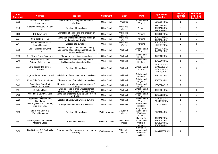| <b>Site</b><br><b>Reference</b> | <b>Address</b>                                   | <b>Proposal</b>                                                                                          | <b>Settlement</b>  | <b>Parish</b>        | <b>Ward</b>                                      | <b>Application</b><br><b>Number</b>                          | <b>Dwellings</b><br><b>Permitted</b><br>(Gross) | <b>Dwellings</b><br><b>Left To Be</b><br><b>Built (Net)</b> |
|---------------------------------|--------------------------------------------------|----------------------------------------------------------------------------------------------------------|--------------------|----------------------|--------------------------------------------------|--------------------------------------------------------------|-------------------------------------------------|-------------------------------------------------------------|
| 3525                            | Sitchcroft Farm, Brown<br>House Lane             | Demolition of building and erection of<br>dwelling                                                       | <b>Other Rural</b> | Wheelton             | Wheelton and<br>Withnell                         | 20/00017/FUL                                                 | $\mathbf{1}$                                    | $\mathbf{1}$                                                |
| 3048                            | Waterstone House, 1A Dark<br>Lane                | Erection of 2 dwellings                                                                                  | <b>Other Rural</b> | Whittle-le-<br>Woods | Pennine                                          | 14/00966/FUL<br>15/01185/FUL<br>19/01080/FUL                 | $\overline{2}$                                  | $\overline{2}$                                              |
| 3166                            | 145 Town Lane                                    | Demolition of extensions and erection of<br>dwelling                                                     | <b>Other Rural</b> | Whittle-le-<br>Woods | Pennine                                          | 15/01057/FUL                                                 | $\mathbf{1}$                                    | $\mathbf{1}$                                                |
| 3334                            | 68 Blackburn Road                                | Demolition of stables and store buildings<br>and erection of dwelling                                    | <b>Other Rural</b> | Whittle-le-<br>Woods | Pennine                                          | 17/00739/FUL<br>17/01124/FUL                                 | $\mathbf{1}$                                    | $\mathbf{1}$                                                |
| 3344                            | Land adjacent to 26/28<br><b>Spring Crescent</b> | Erection of 2 dwellings                                                                                  | Other Rural        | Whittle-le-<br>Woods | Pennine                                          | 17/00815/FUL<br>20/00277/FUL                                 | $\overline{2}$                                  | $\overline{2}$                                              |
| 3096                            | <b>Brinscall Hall Farm, Dick</b><br>Lane         | Erection of agricultural workers dwelling<br>and change of use of redundant barns to<br>form 6 dwellings | <b>Other Rural</b> | Withnell             | Wheelton and<br>Withnell                         | 14/00975/FUL<br>14/00881/FUL                                 | $\overline{7}$                                  | $\mathbf{1}$                                                |
| 3335                            | Old Olivers Farm, Bury Lane                      | Change of use of barn to dwelling                                                                        | <b>Other Rural</b> | Withnell             | <b>Brindle and</b><br>Hoghton                    | 17/00602/FUL                                                 | $\mathbf{1}$                                    | $\mathbf{1}$                                                |
| 3340                            | 2 Ollerton Fold Farm<br>Cottage, Ollerton Lane   | Demolition of commercial dog kennel<br>building and erection of dwelling                                 | <b>Other Rural</b> | Withnell             | Brindle and<br>Hoghton                           | 17/00963/FUL                                                 | $\mathbf{1}$                                    | $\mathbf{1}$                                                |
| 3351                            | Land adjacent to 8 Miller<br>Avenue              | Erection of 9 dwellings                                                                                  | <b>Other Rural</b> | Withnell             | Wheelton and<br>Withnell                         | 17/00913/OUT<br>17/00225/OUT<br>18/00800/OUT<br>19/01180/REM | 9                                               | 9                                                           |
| 3403                            | Edge End Farm, Bolton Road                       | Subdivision of dwelling to form 2 dwellings                                                              | <b>Other Rural</b> | Withnell             | <b>Brindle and</b><br>Hoghton                    | 18/00297/FUL                                                 | $\overline{2}$                                  | $\mathbf{1}$                                                |
| 3433                            | Moss Side Farm, Bury Lane                        | Change of use of outbuilding to dwelling                                                                 | <b>Other Rural</b> | Withnell             | <b>Brindle and</b><br>Hoghton                    | 18/00789/FUL                                                 | $\mathbf{1}$                                    | $\mathbf{1}$                                                |
| 3443                            | Workshop, Edge End<br>Terrace, Bolton Road       | Demolition of workshop and erection of 2<br>dwellings                                                    | <b>Other Rural</b> | Withnell             | <b>Brindle and</b><br>Hoghton                    | 18/00874/OUT                                                 | 2                                               | $\overline{2}$                                              |
| 3464                            | 26 Bolton Road                                   | Change of use of shop with residential<br>above to osteopath clinic on both floors                       | <b>Other Rural</b> | Withnell             | Wheelton and<br>Withnell                         | 19/00351/FUL                                                 | $\overline{0}$                                  | $-1$                                                        |
| 3469                            | Woodsfold Saw Mill, Dole<br>Lane                 | Demolition of storage building and erection<br>of dwelling                                               | <b>Other Rural</b> | Withnell             | Wheelton and<br>Withnell                         | 19/00522/FUL                                                 | $\mathbf{1}$                                    | $\mathbf{1}$                                                |
| 3510                            | Boardman Heights Farm,<br>Bury Lane              | Erection of agricultural workers dwelling                                                                | Other Rural        | Withnell             | Wheelton and<br>Withnell                         | 19/00661/OUT<br>20/00302/REM                                 | $\mathbf{1}$                                    | $\mathbf{1}$                                                |
| 3565                            | Oak Royal Golf and Country<br>Club, Bury Lane    | Change of use of hotel to 8 dwellings                                                                    | Other Rural        | Withnell             | <b>Brindle and</b><br>Hoghton                    | 20/00920/FUL                                                 | 8                                               | 8                                                           |
| 2493                            | Land 40m East of 6<br>Woodside Avenue            | Erection of 2 dwellings                                                                                  | Whittle-le-Woods   | Clayton-le-<br>Woods | Clayton-le-<br>Woods and<br>Whittle-le-<br>Woods | 07/01034/FUL                                                 | 2                                               | $\overline{2}$                                              |
| 2867                            | Land adjacent Dolphin Rise,<br>Millstone Close   | Erection of dwelling                                                                                     | Whittle-le-Woods   | Whittle-le-<br>Woods | Clayton-le-<br>Woods and<br>Whittle-le-<br>Woods | 12/01167/FUL<br>15/01202/FUL<br>18/01118/FUL<br>20/01088/FUL | 1                                               | -1                                                          |
| 3408                            | D & B stores, 1-3 Rock Villa<br>Road             | Prior approval for change of use of shop to<br>dwelling                                                  | Whittle-le-Woods   | Whittle-le-<br>Woods | Clayton-le-<br>Woods and<br>Whittle-le-<br>Woods | 18/00441/P3PAN                                               | $\mathbf 1$                                     | -1                                                          |